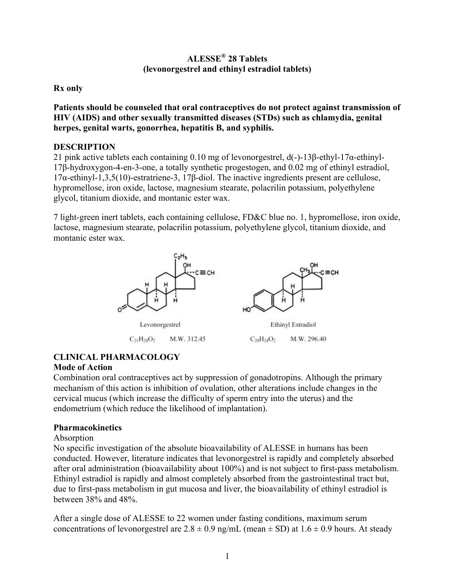## **ALESSE® 28 Tablets (levonorgestrel and ethinyl estradiol tablets)**

## <span id="page-0-0"></span>**Rx only**

**Patients should be counseled that oral contraceptives do not protect against transmission of HIV (AIDS) and other sexually transmitted diseases (STDs) such as chlamydia, genital herpes, genital warts, gonorrhea, hepatitis B, and syphilis.**

## **DESCRIPTION**

21 pink active tablets each containing 0.10 mg of levonorgestrel,  $d(-)$ -13β-ethyl-17 $\alpha$ -ethinyl-17β-hydroxygon-4-en-3-one, a totally synthetic progestogen, and 0.02 mg of ethinyl estradiol, 17α-ethinyl-1,3,5(10)-estratriene-3, 17β-diol. The inactive ingredients present are cellulose, hypromellose, iron oxide, lactose, magnesium stearate, polacrilin potassium, polyethylene glycol, titanium dioxide, and montanic ester wax.

7 light-green inert tablets, each containing cellulose, FD&C blue no. 1, hypromellose, iron oxide, lactose, magnesium stearate, polacrilin potassium, polyethylene glycol, titanium dioxide, and montanic ester wax.



# **CLINICAL PHARMACOLOGY**

## **Mode of Action**

Combination oral contraceptives act by suppression of gonadotropins. Although the primary mechanism of this action is inhibition of ovulation, other alterations include changes in the cervical mucus (which increase the difficulty of sperm entry into the uterus) and the endometrium (which reduce the likelihood of implantation).

## **Pharmacokinetics**

## Absorption

No specific investigation of the absolute bioavailability of ALESSE in humans has been conducted. However, literature indicates that levonorgestrel is rapidly and completely absorbed after oral administration (bioavailability about 100%) and is not subject to first-pass metabolism. Ethinyl estradiol is rapidly and almost completely absorbed from the gastrointestinal tract but, due to first-pass metabolism in gut mucosa and liver, the bioavailability of ethinyl estradiol is between 38% and 48%.

After a single dose of ALESSE to 22 women under fasting conditions, maximum serum concentrations of levonorgestrel are  $2.8 \pm 0.9$  ng/mL (mean  $\pm$  SD) at  $1.6 \pm 0.9$  hours. At steady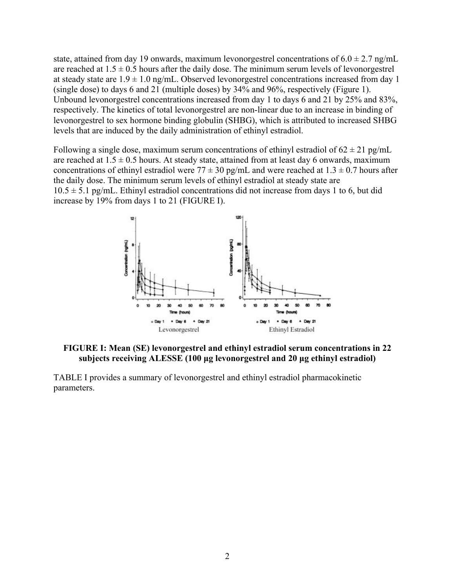state, attained from day 19 onwards, maximum levonorgestrel concentrations of  $6.0 \pm 2.7$  ng/mL are reached at  $1.5 \pm 0.5$  hours after the daily dose. The minimum serum levels of levonorgestrel at steady state are  $1.9 \pm 1.0$  ng/mL. Observed levonorgestrel concentrations increased from day 1 (single dose) to days 6 and 21 (multiple doses) by 34% and 96%, respectively (Figure 1). Unbound levonorgestrel concentrations increased from day 1 to days 6 and 21 by 25% and 83%, respectively. The kinetics of total levonorgestrel are non-linear due to an increase in binding of levonorgestrel to sex hormone binding globulin (SHBG), which is attributed to increased SHBG levels that are induced by the daily administration of ethinyl estradiol.

Following a single dose, maximum serum concentrations of ethinyl estradiol of  $62 \pm 21$  pg/mL are reached at  $1.5 \pm 0.5$  hours. At steady state, attained from at least day 6 onwards, maximum concentrations of ethinyl estradiol were  $77 \pm 30$  pg/mL and were reached at  $1.3 \pm 0.7$  hours after the daily dose. The minimum serum levels of ethinyl estradiol at steady state are  $10.5 \pm 5.1$  pg/mL. Ethinyl estradiol concentrations did not increase from days 1 to 6, but did increase by 19% from days 1 to 21 (FIGURE I).



**FIGURE I: Mean (SE) levonorgestrel and ethinyl estradiol serum concentrations in 22 subjects receiving ALESSE (100 μg levonorgestrel and 20 μg ethinyl estradiol)** 

[TABLE I](#page-2-0) provides a summary of levonorgestrel and ethinyl estradiol pharmacokinetic parameters.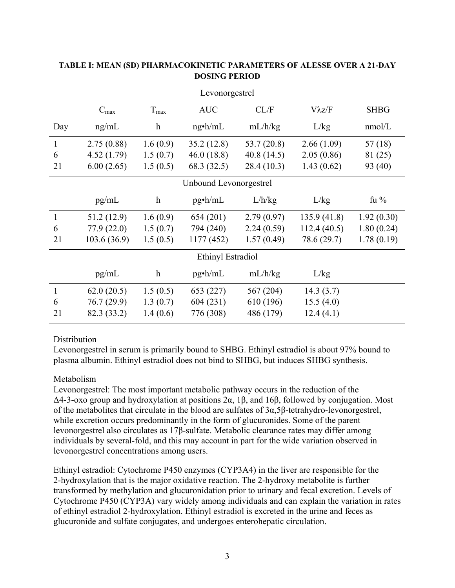| Levonorgestrel         |                  |                           |                |            |                |             |  |
|------------------------|------------------|---------------------------|----------------|------------|----------------|-------------|--|
|                        | $C_{\text{max}}$ | $T_{\text{max}}$          | <b>AUC</b>     | CL/F       | $V\lambda z/F$ | <b>SHBG</b> |  |
| Day                    | ng/mL            | $\mathbf h$               | $ng\cdot h/mL$ | mL/h/kg    | L/kg           | nmol/L      |  |
| 1                      | 2.75(0.88)       | 1.6(0.9)                  | 35.2(12.8)     | 53.7(20.8) | 2.66(1.09)     | 57 (18)     |  |
| 6                      | 4.52(1.79)       | 1.5(0.7)                  | 46.0(18.8)     | 40.8(14.5) | 2.05(0.86)     | 81 (25)     |  |
| 21                     | 6.00(2.65)       | 1.5(0.5)                  | 68.3 (32.5)    | 28.4(10.3) | 1.43(0.62)     | 93 (40)     |  |
| Unbound Levonorgestrel |                  |                           |                |            |                |             |  |
|                        | pg/mL            | $\boldsymbol{\mathrm{h}}$ | $pg\cdot h/mL$ | L/h/kg     | L/kg           | fu $%$      |  |
| $\mathbf{1}$           | 51.2(12.9)       | 1.6(0.9)                  | 654 (201)      | 2.79(0.97) | 135.9(41.8)    | 1.92(0.30)  |  |
| 6                      | 77.9(22.0)       | 1.5(0.7)                  | 794 (240)      | 2.24(0.59) | 112.4(40.5)    | 1.80(0.24)  |  |
| 21                     | 103.6(36.9)      | 1.5(0.5)                  | 1177 (452)     | 1.57(0.49) | 78.6 (29.7)    | 1.78(0.19)  |  |
| Ethinyl Estradiol      |                  |                           |                |            |                |             |  |
|                        | pg/mL            | $\boldsymbol{h}$          | $pg\cdot h/mL$ | mL/h/kg    | L/kg           |             |  |
| 1                      | 62.0(20.5)       | 1.5(0.5)                  | 653 (227)      | 567 (204)  | 14.3(3.7)      |             |  |
| 6                      | 76.7(29.9)       | 1.3(0.7)                  | 604 (231)      | 610 (196)  | 15.5(4.0)      |             |  |
| 21                     | 82.3 (33.2)      | 1.4(0.6)                  | 776 (308)      | 486 (179)  | 12.4(4.1)      |             |  |

## <span id="page-2-0"></span>**TABLE I: MEAN (SD) PHARMACOKINETIC PARAMETERS OF ALESSE OVER A 21-DAY DOSING PERIOD**

## **Distribution**

Levonorgestrel in serum is primarily bound to SHBG. Ethinyl estradiol is about 97% bound to plasma albumin. Ethinyl estradiol does not bind to SHBG, but induces SHBG synthesis.

## Metabolism

Levonorgestrel: The most important metabolic pathway occurs in the reduction of the Δ4-3-oxo group and hydroxylation at positions 2α, 1β, and 16β, followed by conjugation. Most of the metabolites that circulate in the blood are sulfates of 3α,5β-tetrahydro-levonorgestrel, while excretion occurs predominantly in the form of glucuronides. Some of the parent levonorgestrel also circulates as 17β-sulfate. Metabolic clearance rates may differ among individuals by several-fold, and this may account in part for the wide variation observed in levonorgestrel concentrations among users.

Ethinyl estradiol: Cytochrome P450 enzymes (CYP3A4) in the liver are responsible for the 2-hydroxylation that is the major oxidative reaction. The 2-hydroxy metabolite is further transformed by methylation and glucuronidation prior to urinary and fecal excretion. Levels of Cytochrome P450 (CYP3A) vary widely among individuals and can explain the variation in rates of ethinyl estradiol 2-hydroxylation. Ethinyl estradiol is excreted in the urine and feces as glucuronide and sulfate conjugates, and undergoes enterohepatic circulation.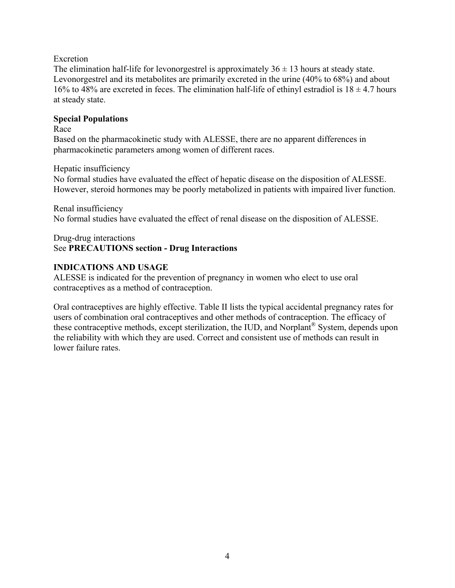### Excretion

The elimination half-life for levonorgestrel is approximately  $36 \pm 13$  hours at steady state. Levonorgestrel and its metabolites are primarily excreted in the urine (40% to 68%) and about 16% to 48% are excreted in feces. The elimination half-life of ethinyl estradiol is  $18 \pm 4.7$  hours at steady state.

### **Special Populations**

#### Race

Based on the pharmacokinetic study with ALESSE, there are no apparent differences in pharmacokinetic parameters among women of different races.

### Hepatic insufficiency

No formal studies have evaluated the effect of hepatic disease on the disposition of ALESSE. However, steroid hormones may be poorly metabolized in patients with impaired liver function.

### Renal insufficiency

No formal studies have evaluated the effect of renal disease on the disposition of ALESSE.

### Drug-drug interactions See **[PRECAUTIONS](#page-15-0) section - [Drug Interactions](#page-15-0)**

### **INDICATIONS AND USAGE**

ALESSE is indicated for the prevention of pregnancy in women who elect to use oral contraceptives as a method of contraception.

Oral contraceptives are highly effective. [Table II](#page-4-0) lists the typical accidental pregnancy rates for users of combination oral contraceptives and other methods of contraception. The efficacy of these contraceptive methods, except sterilization, the IUD, and Norplant® System, depends upon the reliability with which they are used. Correct and consistent use of methods can result in lower failure rates.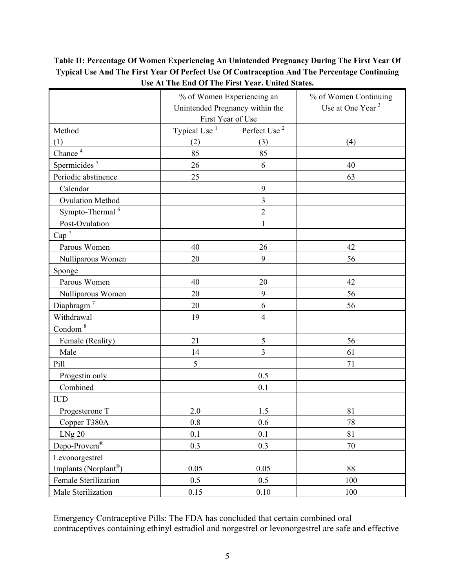### <span id="page-4-0"></span>**Table II: Percentage Of Women Experiencing An Unintended Pregnancy During The First Year Of Typical Use And The First Year Of Perfect Use Of Contraception And The Percentage Continuing Use At The End Of The First Year. United States.**

|                             |                          | % of Women Experiencing an<br>Unintended Pregnancy within the<br>First Year of Use | % of Women Continuing<br>Use at One Year <sup>3</sup> |
|-----------------------------|--------------------------|------------------------------------------------------------------------------------|-------------------------------------------------------|
| Method                      | Typical Use <sup>1</sup> | Perfect Use <sup>2</sup>                                                           |                                                       |
| (1)                         | (2)                      | (3)                                                                                | (4)                                                   |
| Chance <sup>4</sup>         | 85                       | 85                                                                                 |                                                       |
| Spermicides <sup>5</sup>    | 26                       | 6                                                                                  | 40                                                    |
| Periodic abstinence         | 25                       |                                                                                    | 63                                                    |
| Calendar                    |                          | 9                                                                                  |                                                       |
| <b>Ovulation Method</b>     |                          | $\overline{3}$                                                                     |                                                       |
| Sympto-Thermal <sup>6</sup> |                          | $\overline{c}$                                                                     |                                                       |
| Post-Ovulation              |                          | 1                                                                                  |                                                       |
| $Cap^7$                     |                          |                                                                                    |                                                       |
| Parous Women                | 40                       | 26                                                                                 | 42                                                    |
| Nulliparous Women           | 20                       | 9                                                                                  | 56                                                    |
| Sponge                      |                          |                                                                                    |                                                       |
| Parous Women                | 40                       | 20                                                                                 | 42                                                    |
| Nulliparous Women           | 20                       | 9                                                                                  | 56                                                    |
| Diaphragm <sup>7</sup>      | 20                       | 6                                                                                  | 56                                                    |
| Withdrawal                  | 19                       | $\overline{4}$                                                                     |                                                       |
| Condom <sup>8</sup>         |                          |                                                                                    |                                                       |
| Female (Reality)            | 21                       | 5                                                                                  | 56                                                    |
| Male                        | 14                       | $\overline{3}$                                                                     | 61                                                    |
| Pill                        | 5                        |                                                                                    | 71                                                    |
| Progestin only              |                          | 0.5                                                                                |                                                       |
| Combined                    |                          | 0.1                                                                                |                                                       |
| <b>IUD</b>                  |                          |                                                                                    |                                                       |
| Progesterone T              | 2.0                      | 1.5                                                                                | 81                                                    |
| Copper T380A                | 0.8                      | 0.6                                                                                | 78                                                    |
| LNg 20                      | 0.1                      | 0.1                                                                                | 81                                                    |
| Depo-Provera <sup>®</sup>   | 0.3                      | 0.3                                                                                | 70                                                    |
| Levonorgestrel              |                          |                                                                                    |                                                       |
| Implants (Norplant®)        | 0.05                     | 0.05                                                                               | 88                                                    |
| Female Sterilization        | 0.5                      | 0.5                                                                                | 100                                                   |
| Male Sterilization          | 0.15                     | 0.10                                                                               | 100                                                   |

Emergency Contraceptive Pills: The FDA has concluded that certain combined oral contraceptives containing ethinyl estradiol and norgestrel or levonorgestrel are safe and effective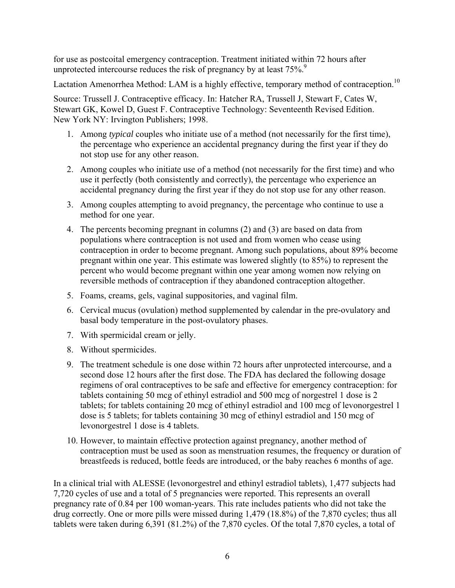<span id="page-5-0"></span>for use as postcoital emergency contraception. Treatment initiated within 72 hours after unprotected intercourse reduces the risk of pregnancy by at least 75%.<sup>9</sup>

Lactation Amenorrhea Method: LAM is a highly effective, temporary method of contraception.<sup>10</sup>

Source: Trussell J. Contraceptive efficacy. In: Hatcher RA, Trussell J, Stewart F, Cates W, Stewart GK, Kowel D, Guest F. Contraceptive Technology: Seventeenth Revised Edition. New York NY: Irvington Publishers; 1998.

- 1. Among *typical* couples who initiate use of a method (not necessarily for the first time), the percentage who experience an accidental pregnancy during the first year if they do not stop use for any other reason.
- 2. Among couples who initiate use of a method (not necessarily for the first time) and who use it perfectly (both consistently and correctly), the percentage who experience an accidental pregnancy during the first year if they do not stop use for any other reason.
- 3. Among couples attempting to avoid pregnancy, the percentage who continue to use a method for one year.
- 4. The percents becoming pregnant in columns (2) and (3) are based on data from populations where contraception is not used and from women who cease using contraception in order to become pregnant. Among such populations, about 89% become pregnant within one year. This estimate was lowered slightly (to 85%) to represent the percent who would become pregnant within one year among women now relying on reversible methods of contraception if they abandoned contraception altogether.
- 5. Foams, creams, gels, vaginal suppositories, and vaginal film.
- 6. Cervical mucus (ovulation) method supplemented by calendar in the pre-ovulatory and basal body temperature in the post-ovulatory phases.
- 7. With spermicidal cream or jelly.
- 8. Without spermicides.
- 9. The treatment schedule is one dose within 72 hours after unprotected intercourse, and a second dose 12 hours after the first dose. The FDA has declared the following dosage regimens of oral contraceptives to be safe and effective for emergency contraception: for tablets containing 50 mcg of ethinyl estradiol and 500 mcg of norgestrel 1 dose is 2 tablets; for tablets containing 20 mcg of ethinyl estradiol and 100 mcg of levonorgestrel 1 dose is 5 tablets; for tablets containing 30 mcg of ethinyl estradiol and 150 mcg of levonorgestrel 1 dose is 4 tablets.
- 10. However, to maintain effective protection against pregnancy, another method of contraception must be used as soon as menstruation resumes, the frequency or duration of breastfeeds is reduced, bottle feeds are introduced, or the baby reaches 6 months of age.

In a clinical trial with ALESSE (levonorgestrel and ethinyl estradiol tablets), 1,477 subjects had 7,720 cycles of use and a total of 5 pregnancies were reported. This represents an overall pregnancy rate of 0.84 per 100 woman-years. This rate includes patients who did not take the drug correctly. One or more pills were missed during 1,479 (18.8%) of the 7,870 cycles; thus all tablets were taken during 6,391 (81.2%) of the 7,870 cycles. Of the total 7,870 cycles, a total of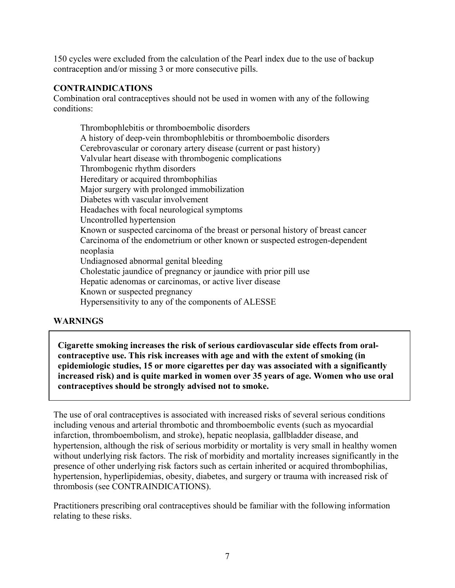<span id="page-6-0"></span>150 cycles were excluded from the calculation of the Pearl index due to the use of backup contraception and/or missing 3 or more consecutive pills.

### **CONTRAINDICATIONS**

Combination oral contraceptives should not be used in women with any of the following conditions:

Thrombophlebitis or thromboembolic disorders A history of deep-vein thrombophlebitis or thromboembolic disorders Cerebrovascular or coronary artery disease (current or past history) Valvular heart disease with thrombogenic complications Thrombogenic rhythm disorders Hereditary or acquired thrombophilias Major surgery with prolonged immobilization Diabetes with vascular involvement Headaches with focal neurological symptoms Uncontrolled hypertension Known or suspected carcinoma of the breast or personal history of breast cancer Carcinoma of the endometrium or other known or suspected estrogen-dependent neoplasia Undiagnosed abnormal genital bleeding Cholestatic jaundice of pregnancy or jaundice with prior pill use Hepatic adenomas or carcinomas, or active liver disease Known or suspected pregnancy Hypersensitivity to any of the components of ALESSE

## **WARNINGS**

**Cigarette smoking increases the risk of serious cardiovascular side effects from oralcontraceptive use. This risk increases with age and with the extent of smoking (in epidemiologic studies, 15 or more cigarettes per day was associated with a significantly increased risk) and is quite marked in women over 35 years of age. Women who use oral contraceptives should be strongly advised not to smoke.**

The use of oral contraceptives is associated with increased risks of several serious conditions including venous and arterial thrombotic and thromboembolic events (such as myocardial infarction, thromboembolism, and stroke), hepatic neoplasia, gallbladder disease, and hypertension, although the risk of serious morbidity or mortality is very small in healthy women without underlying risk factors. The risk of morbidity and mortality increases significantly in the presence of other underlying risk factors such as certain inherited or acquired thrombophilias, hypertension, hyperlipidemias, obesity, diabetes, and surgery or trauma with increased risk of thrombosis (see [CONTRAINDICATIONS](#page-6-0)).

Practitioners prescribing oral contraceptives should be familiar with the following information relating to these risks.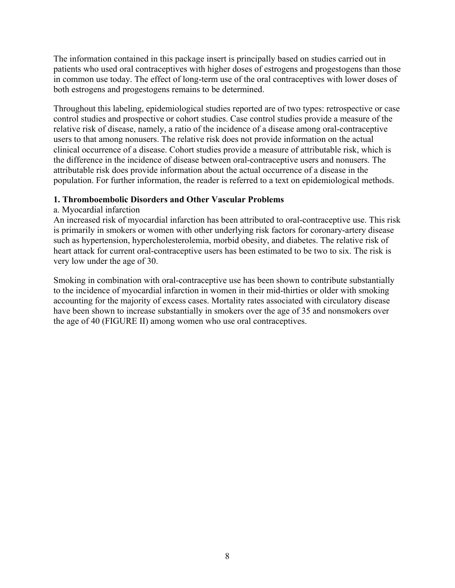<span id="page-7-0"></span>The information contained in this package insert is principally based on studies carried out in patients who used oral contraceptives with higher doses of estrogens and progestogens than those in common use today. The effect of long-term use of the oral contraceptives with lower doses of both estrogens and progestogens remains to be determined.

Throughout this labeling, epidemiological studies reported are of two types: retrospective or case control studies and prospective or cohort studies. Case control studies provide a measure of the relative risk of disease, namely, a ratio of the incidence of a disease among oral-contraceptive users to that among nonusers. The relative risk does not provide information on the actual clinical occurrence of a disease. Cohort studies provide a measure of attributable risk, which is the difference in the incidence of disease between oral-contraceptive users and nonusers. The attributable risk does provide information about the actual occurrence of a disease in the population. For further information, the reader is referred to a text on epidemiological methods.

## **1. Thromboembolic Disorders and Other Vascular Problems**

## a. Myocardial infarction

An increased risk of myocardial infarction has been attributed to oral-contraceptive use. This risk is primarily in smokers or women with other underlying risk factors for coronary-artery disease such as hypertension, hypercholesterolemia, morbid obesity, and diabetes. The relative risk of heart attack for current oral-contraceptive users has been estimated to be two to six. The risk is very low under the age of 30.

Smoking in combination with oral-contraceptive use has been shown to contribute substantially to the incidence of myocardial infarction in women in their mid-thirties or older with smoking accounting for the majority of excess cases. Mortality rates associated with circulatory disease have been shown to increase substantially in smokers over the age of 35 and nonsmokers over the age of 40 (FIGURE II) among women who use oral contraceptives.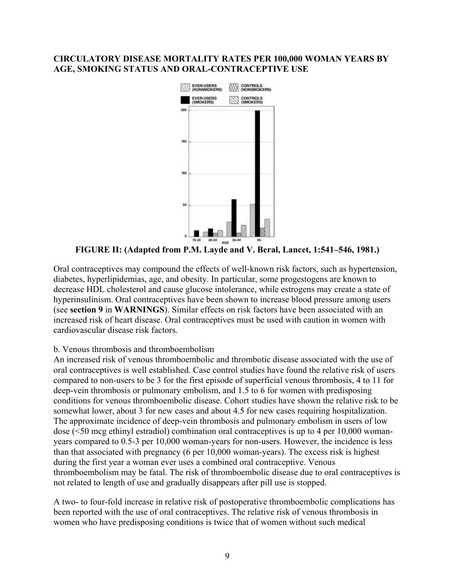### **CIRCULATORY DISEASE MORTALITY RATES PER 100,000 WOMAN YEARS BY AGE, SMOKING STATUS AND ORAL-CONTRACEPTIVE USE**



**FIGURE II: (Adapted from P.M. Layde and V. Beral, Lancet, 1:541–546, 1981.)** 

Oral contraceptives may compound the effects of well-known risk factors, such as hypertension, diabetes, hyperlipidemias, age, and obesity. In particular, some progestogens are known to decrease HDL cholesterol and cause glucose intolerance, while estrogens may create a state of hyperinsulinism. Oral contraceptives have been shown to increase blood pressure among users (see **[section 9](#page-13-0)** in **[WARNINGS](#page-13-0)**). Similar effects on risk factors have been associated with an increased risk of heart disease. Oral contraceptives must be used with caution in women with cardiovascular disease risk factors.

## b. Venous thrombosis and thromboembolism

An increased risk of venous thromboembolic and thrombotic disease associated with the use of oral contraceptives is well established. Case control studies have found the relative risk of users compared to non-users to be 3 for the first episode of superficial venous thrombosis, 4 to 11 for deep-vein thrombosis or pulmonary embolism, and 1.5 to 6 for women with predisposing conditions for venous thromboembolic disease. Cohort studies have shown the relative risk to be somewhat lower, about 3 for new cases and about 4.5 for new cases requiring hospitalization. The approximate incidence of deep-vein thrombosis and pulmonary embolism in users of low dose (<50 mcg ethinyl estradiol) combination oral contraceptives is up to 4 per 10,000 womanyears compared to 0.5-3 per 10,000 woman-years for non-users. However, the incidence is less than that associated with pregnancy (6 per 10,000 woman-years). The excess risk is highest during the first year a woman ever uses a combined oral contraceptive. Venous thromboembolism may be fatal. The risk of thromboembolic disease due to oral contraceptives is not related to length of use and gradually disappears after pill use is stopped.

A two- to four-fold increase in relative risk of postoperative thromboembolic complications has been reported with the use of oral contraceptives. The relative risk of venous thrombosis in women who have predisposing conditions is twice that of women without such medical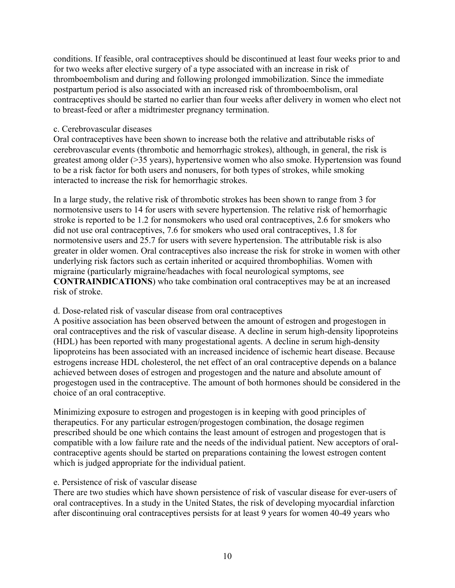<span id="page-9-0"></span>conditions. If feasible, oral contraceptives should be discontinued at least four weeks prior to and for two weeks after elective surgery of a type associated with an increase in risk of thromboembolism and during and following prolonged immobilization. Since the immediate postpartum period is also associated with an increased risk of thromboembolism, oral contraceptives should be started no earlier than four weeks after delivery in women who elect not to breast-feed or after a midtrimester pregnancy termination.

### c. Cerebrovascular diseases

Oral contraceptives have been shown to increase both the relative and attributable risks of cerebrovascular events (thrombotic and hemorrhagic strokes), although, in general, the risk is greatest among older (>35 years), hypertensive women who also smoke. Hypertension was found to be a risk factor for both users and nonusers, for both types of strokes, while smoking interacted to increase the risk for hemorrhagic strokes.

In a large study, the relative risk of thrombotic strokes has been shown to range from 3 for normotensive users to 14 for users with severe hypertension. The relative risk of hemorrhagic stroke is reported to be 1.2 for nonsmokers who used oral contraceptives, 2.6 for smokers who did not use oral contraceptives, 7.6 for smokers who used oral contraceptives, 1.8 for normotensive users and 25.7 for users with severe hypertension. The attributable risk is also greater in older women. Oral contraceptives also increase the risk for stroke in women with other underlying risk factors such as certain inherited or acquired thrombophilias. Women with migraine (particularly migraine/headaches with focal neurological symptoms, see **[CONTRAINDICATIONS](#page-6-0)**) who take combination oral contraceptives may be at an increased risk of stroke.

## d. Dose-related risk of vascular disease from oral contraceptives

A positive association has been observed between the amount of estrogen and progestogen in oral contraceptives and the risk of vascular disease. A decline in serum high-density lipoproteins (HDL) has been reported with many progestational agents. A decline in serum high-density lipoproteins has been associated with an increased incidence of ischemic heart disease. Because estrogens increase HDL cholesterol, the net effect of an oral contraceptive depends on a balance achieved between doses of estrogen and progestogen and the nature and absolute amount of progestogen used in the contraceptive. The amount of both hormones should be considered in the choice of an oral contraceptive.

Minimizing exposure to estrogen and progestogen is in keeping with good principles of therapeutics. For any particular estrogen/progestogen combination, the dosage regimen prescribed should be one which contains the least amount of estrogen and progestogen that is compatible with a low failure rate and the needs of the individual patient. New acceptors of oralcontraceptive agents should be started on preparations containing the lowest estrogen content which is judged appropriate for the individual patient.

## e. Persistence of risk of vascular disease

There are two studies which have shown persistence of risk of vascular disease for ever-users of oral contraceptives. In a study in the United States, the risk of developing myocardial infarction after discontinuing oral contraceptives persists for at least 9 years for women 40-49 years who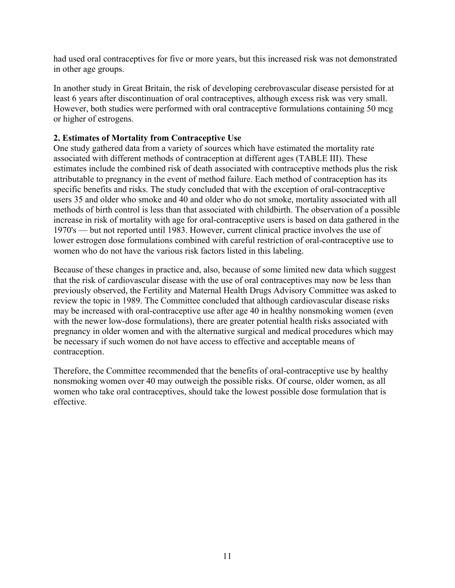had used oral contraceptives for five or more years, but this increased risk was not demonstrated in other age groups.

In another study in Great Britain, the risk of developing cerebrovascular disease persisted for at least 6 years after discontinuation of oral contraceptives, although excess risk was very small. However, both studies were performed with oral contraceptive formulations containing 50 mcg or higher of estrogens.

## **2. Estimates of Mortality from Contraceptive Use**

One study gathered data from a variety of sources which have estimated the mortality rate associated with different methods of contraception at different ages [\(TABLE III\)](#page-11-0). These estimates include the combined risk of death associated with contraceptive methods plus the risk attributable to pregnancy in the event of method failure. Each method of contraception has its specific benefits and risks. The study concluded that with the exception of oral-contraceptive users 35 and older who smoke and 40 and older who do not smoke, mortality associated with all methods of birth control is less than that associated with childbirth. The observation of a possible increase in risk of mortality with age for oral-contraceptive users is based on data gathered in the 1970's — but not reported until 1983. However, current clinical practice involves the use of lower estrogen dose formulations combined with careful restriction of oral-contraceptive use to women who do not have the various risk factors listed in this labeling.

Because of these changes in practice and, also, because of some limited new data which suggest that the risk of cardiovascular disease with the use of oral contraceptives may now be less than previously observed, the Fertility and Maternal Health Drugs Advisory Committee was asked to review the topic in 1989. The Committee concluded that although cardiovascular disease risks may be increased with oral-contraceptive use after age 40 in healthy nonsmoking women (even with the newer low-dose formulations), there are greater potential health risks associated with pregnancy in older women and with the alternative surgical and medical procedures which may be necessary if such women do not have access to effective and acceptable means of contraception.

Therefore, the Committee recommended that the benefits of oral-contraceptive use by healthy nonsmoking women over 40 may outweigh the possible risks. Of course, older women, as all women who take oral contraceptives, should take the lowest possible dose formulation that is effective.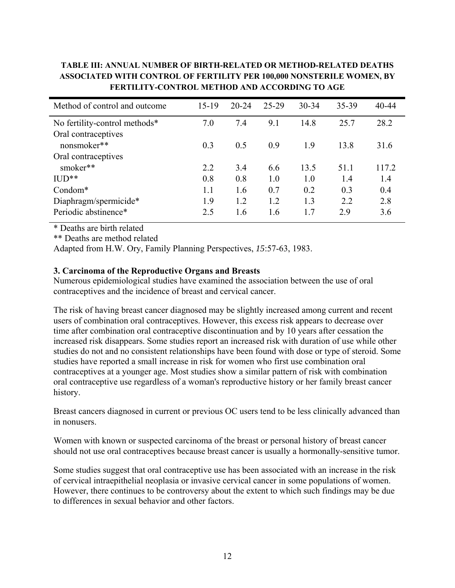<span id="page-11-0"></span>

| <b>TABLE III: ANNUAL NUMBER OF BIRTH-RELATED OR METHOD-RELATED DEATHS</b> |
|---------------------------------------------------------------------------|
| ASSOCIATED WITH CONTROL OF FERTILITY PER 100,000 NONSTERILE WOMEN, BY     |
| FERTILITY-CONTROL METHOD AND ACCORDING TO AGE                             |

| 35-39<br>40-44 |
|----------------|
| 28.2           |
|                |
| 31.6           |
|                |
| 117.2          |
| 1.4            |
| 0.4            |
| 2.8            |
| 3.6            |
|                |

\* Deaths are birth related

\*\* Deaths are method related

Adapted from H.W. Ory, Family Planning Perspectives, *15*:57-63, 1983.

## **3. Carcinoma of the Reproductive Organs and Breasts**

Numerous epidemiological studies have examined the association between the use of oral contraceptives and the incidence of breast and cervical cancer.

The risk of having breast cancer diagnosed may be slightly increased among current and recent users of combination oral contraceptives. However, this excess risk appears to decrease over time after combination oral contraceptive discontinuation and by 10 years after cessation the increased risk disappears. Some studies report an increased risk with duration of use while other studies do not and no consistent relationships have been found with dose or type of steroid. Some studies have reported a small increase in risk for women who first use combination oral contraceptives at a younger age. Most studies show a similar pattern of risk with combination oral contraceptive use regardless of a woman's reproductive history or her family breast cancer history.

Breast cancers diagnosed in current or previous OC users tend to be less clinically advanced than in nonusers.

Women with known or suspected carcinoma of the breast or personal history of breast cancer should not use oral contraceptives because breast cancer is usually a hormonally-sensitive tumor.

Some studies suggest that oral contraceptive use has been associated with an increase in the risk of cervical intraepithelial neoplasia or invasive cervical cancer in some populations of women. However, there continues to be controversy about the extent to which such findings may be due to differences in sexual behavior and other factors.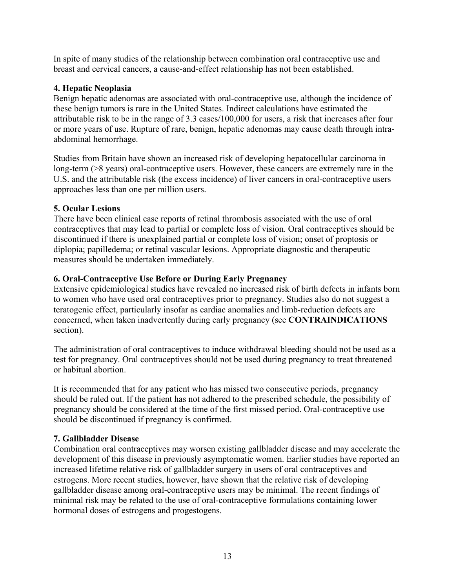In spite of many studies of the relationship between combination oral contraceptive use and breast and cervical cancers, a cause-and-effect relationship has not been established.

## **4. Hepatic Neoplasia**

Benign hepatic adenomas are associated with oral-contraceptive use, although the incidence of these benign tumors is rare in the United States. Indirect calculations have estimated the attributable risk to be in the range of 3.3 cases/100,000 for users, a risk that increases after four or more years of use. Rupture of rare, benign, hepatic adenomas may cause death through intraabdominal hemorrhage.

Studies from Britain have shown an increased risk of developing hepatocellular carcinoma in long-term ( $>8$  years) oral-contraceptive users. However, these cancers are extremely rare in the U.S. and the attributable risk (the excess incidence) of liver cancers in oral-contraceptive users approaches less than one per million users.

## **5. Ocular Lesions**

There have been clinical case reports of retinal thrombosis associated with the use of oral contraceptives that may lead to partial or complete loss of vision. Oral contraceptives should be discontinued if there is unexplained partial or complete loss of vision; onset of proptosis or diplopia; papilledema; or retinal vascular lesions. Appropriate diagnostic and therapeutic measures should be undertaken immediately.

## **6. Oral-Contraceptive Use Before or During Early Pregnancy**

Extensive epidemiological studies have revealed no increased risk of birth defects in infants born to women who have used oral contraceptives prior to pregnancy. Studies also do not suggest a teratogenic effect, particularly insofar as cardiac anomalies and limb-reduction defects are concerned, when taken inadvertently during early pregnancy (see **[CONTRAINDICATIONS](#page-6-0)** section).

The administration of oral contraceptives to induce withdrawal bleeding should not be used as a test for pregnancy. Oral contraceptives should not be used during pregnancy to treat threatened or habitual abortion.

It is recommended that for any patient who has missed two consecutive periods, pregnancy should be ruled out. If the patient has not adhered to the prescribed schedule, the possibility of pregnancy should be considered at the time of the first missed period. Oral-contraceptive use should be discontinued if pregnancy is confirmed.

## **7. Gallbladder Disease**

Combination oral contraceptives may worsen existing gallbladder disease and may accelerate the development of this disease in previously asymptomatic women. Earlier studies have reported an increased lifetime relative risk of gallbladder surgery in users of oral contraceptives and estrogens. More recent studies, however, have shown that the relative risk of developing gallbladder disease among oral-contraceptive users may be minimal. The recent findings of minimal risk may be related to the use of oral-contraceptive formulations containing lower hormonal doses of estrogens and progestogens.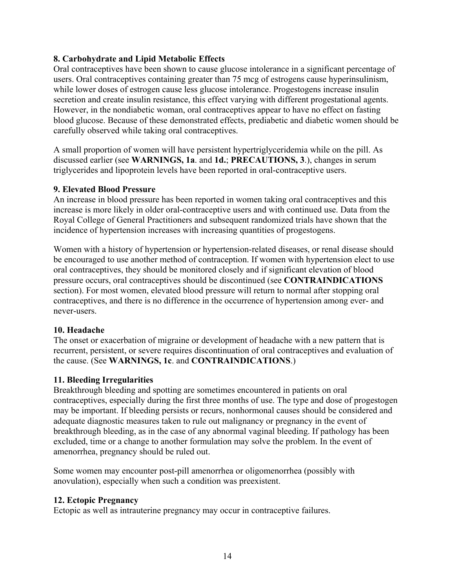## <span id="page-13-0"></span>**8. Carbohydrate and Lipid Metabolic Effects**

Oral contraceptives have been shown to cause glucose intolerance in a significant percentage of users. Oral contraceptives containing greater than 75 mcg of estrogens cause hyperinsulinism, while lower doses of estrogen cause less glucose intolerance. Progestogens increase insulin secretion and create insulin resistance, this effect varying with different progestational agents. However, in the nondiabetic woman, oral contraceptives appear to have no effect on fasting blood glucose. Because of these demonstrated effects, prediabetic and diabetic women should be carefully observed while taking oral contraceptives.

A small proportion of women will have persistent hypertriglyceridemia while on the pill. As discussed earlier (see **[WARNINGS, 1a](#page-7-0)**. and **[1d.](#page-9-0)**; **[PRECAUTIONS, 3](#page-14-0)**.), changes in serum triglycerides and lipoprotein levels have been reported in oral-contraceptive users.

## **9. Elevated Blood Pressure**

An increase in blood pressure has been reported in women taking oral contraceptives and this increase is more likely in older oral-contraceptive users and with continued use. Data from the Royal College of General Practitioners and subsequent randomized trials have shown that the incidence of hypertension increases with increasing quantities of progestogens.

Women with a history of hypertension or hypertension-related diseases, or renal disease should be encouraged to use another method of contraception. If women with hypertension elect to use oral contraceptives, they should be monitored closely and if significant elevation of blood pressure occurs, oral contraceptives should be discontinued (see **[CONTRAINDICATIONS](#page-6-0)** section). For most women, elevated blood pressure will return to normal after stopping oral contraceptives, and there is no difference in the occurrence of hypertension among ever- and never-users.

## **10. Headache**

The onset or exacerbation of migraine or development of headache with a new pattern that is recurrent, persistent, or severe requires discontinuation of oral contraceptives and evaluation of the cause. (See **[WARNINGS, 1c](#page-9-0)**. and **[CONTRAINDICATIONS](#page-6-0)**.)

## **11. Bleeding Irregularities**

Breakthrough bleeding and spotting are sometimes encountered in patients on oral contraceptives, especially during the first three months of use. The type and dose of progestogen may be important. If bleeding persists or recurs, nonhormonal causes should be considered and adequate diagnostic measures taken to rule out malignancy or pregnancy in the event of breakthrough bleeding, as in the case of any abnormal vaginal bleeding. If pathology has been excluded, time or a change to another formulation may solve the problem. In the event of amenorrhea, pregnancy should be ruled out.

Some women may encounter post-pill amenorrhea or oligomenorrhea (possibly with anovulation), especially when such a condition was preexistent.

## **12. Ectopic Pregnancy**

Ectopic as well as intrauterine pregnancy may occur in contraceptive failures.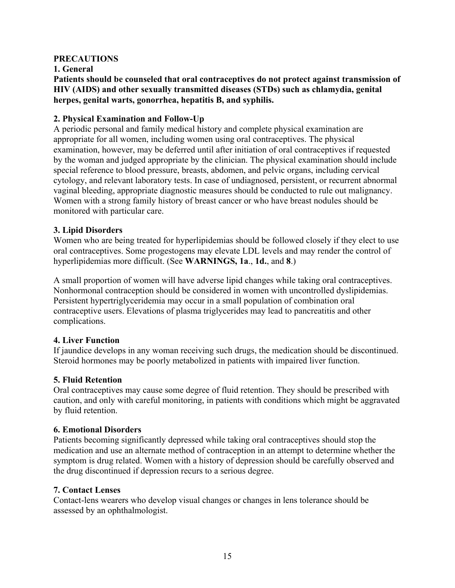### <span id="page-14-0"></span>**PRECAUTIONS**

### **1. General**

**Patients should be counseled that oral contraceptives do not protect against transmission of HIV (AIDS) and other sexually transmitted diseases (STDs) such as chlamydia, genital herpes, genital warts, gonorrhea, hepatitis B, and syphilis.**

### **2. Physical Examination and Follow-Up**

A periodic personal and family medical history and complete physical examination are appropriate for all women, including women using oral contraceptives. The physical examination, however, may be deferred until after initiation of oral contraceptives if requested by the woman and judged appropriate by the clinician. The physical examination should include special reference to blood pressure, breasts, abdomen, and pelvic organs, including cervical cytology, and relevant laboratory tests. In case of undiagnosed, persistent, or recurrent abnormal vaginal bleeding, appropriate diagnostic measures should be conducted to rule out malignancy. Women with a strong family history of breast cancer or who have breast nodules should be monitored with particular care.

### **3. Lipid Disorders**

Women who are being treated for hyperlipidemias should be followed closely if they elect to use oral contraceptives. Some progestogens may elevate LDL levels and may render the control of hyperlipidemias more difficult. (See **[WARNINGS, 1a](#page-7-0)**., **[1d.](#page-9-0)**, and **[8](#page-13-0)**.)

A small proportion of women will have adverse lipid changes while taking oral contraceptives. Nonhormonal contraception should be considered in women with uncontrolled dyslipidemias. Persistent hypertriglyceridemia may occur in a small population of combination oral contraceptive users. Elevations of plasma triglycerides may lead to pancreatitis and other complications.

## **4. Liver Function**

If jaundice develops in any woman receiving such drugs, the medication should be discontinued. Steroid hormones may be poorly metabolized in patients with impaired liver function.

### **5. Fluid Retention**

Oral contraceptives may cause some degree of fluid retention. They should be prescribed with caution, and only with careful monitoring, in patients with conditions which might be aggravated by fluid retention.

### **6. Emotional Disorders**

Patients becoming significantly depressed while taking oral contraceptives should stop the medication and use an alternate method of contraception in an attempt to determine whether the symptom is drug related. Women with a history of depression should be carefully observed and the drug discontinued if depression recurs to a serious degree.

### **7. Contact Lenses**

Contact-lens wearers who develop visual changes or changes in lens tolerance should be assessed by an ophthalmologist.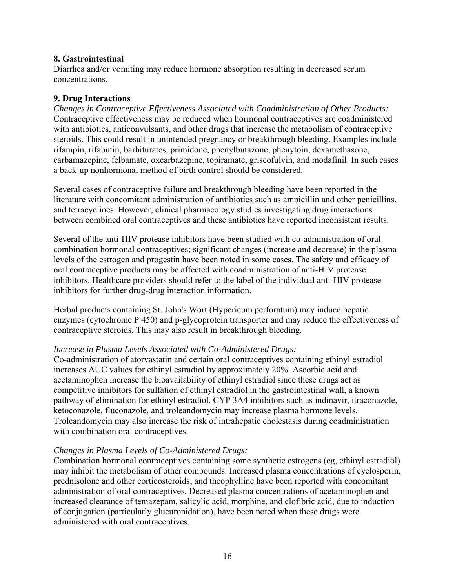### <span id="page-15-0"></span>**8. Gastrointestinal**

Diarrhea and/or vomiting may reduce hormone absorption resulting in decreased serum concentrations.

### **9. Drug Interactions**

*Changes in Contraceptive Effectiveness Associated with Coadministration of Other Products:*  Contraceptive effectiveness may be reduced when hormonal contraceptives are coadministered with antibiotics, anticonvulsants, and other drugs that increase the metabolism of contraceptive steroids. This could result in unintended pregnancy or breakthrough bleeding. Examples include rifampin, rifabutin, barbiturates, primidone, phenylbutazone, phenytoin, dexamethasone, carbamazepine, felbamate, oxcarbazepine, topiramate, griseofulvin, and modafinil. In such cases a back-up nonhormonal method of birth control should be considered.

Several cases of contraceptive failure and breakthrough bleeding have been reported in the literature with concomitant administration of antibiotics such as ampicillin and other penicillins, and tetracyclines. However, clinical pharmacology studies investigating drug interactions between combined oral contraceptives and these antibiotics have reported inconsistent results.

Several of the anti-HIV protease inhibitors have been studied with co-administration of oral combination hormonal contraceptives; significant changes (increase and decrease) in the plasma levels of the estrogen and progestin have been noted in some cases. The safety and efficacy of oral contraceptive products may be affected with coadministration of anti-HIV protease inhibitors. Healthcare providers should refer to the label of the individual anti-HIV protease inhibitors for further drug-drug interaction information.

Herbal products containing St. John's Wort (Hypericum perforatum) may induce hepatic enzymes (cytochrome P 450) and p-glycoprotein transporter and may reduce the effectiveness of contraceptive steroids. This may also result in breakthrough bleeding.

### *Increase in Plasma Levels Associated with Co-Administered Drugs:*

Co-administration of atorvastatin and certain oral contraceptives containing ethinyl estradiol increases AUC values for ethinyl estradiol by approximately 20%. Ascorbic acid and acetaminophen increase the bioavailability of ethinyl estradiol since these drugs act as competitive inhibitors for sulfation of ethinyl estradiol in the gastrointestinal wall, a known pathway of elimination for ethinyl estradiol. CYP 3A4 inhibitors such as indinavir, itraconazole, ketoconazole, fluconazole, and troleandomycin may increase plasma hormone levels. Troleandomycin may also increase the risk of intrahepatic cholestasis during coadministration with combination oral contraceptives.

## *Changes in Plasma Levels of Co-Administered Drugs:*

Combination hormonal contraceptives containing some synthetic estrogens (eg, ethinyl estradiol) may inhibit the metabolism of other compounds. Increased plasma concentrations of cyclosporin, prednisolone and other corticosteroids, and theophylline have been reported with concomitant administration of oral contraceptives. Decreased plasma concentrations of acetaminophen and increased clearance of temazepam, salicylic acid, morphine, and clofibric acid, due to induction of conjugation (particularly glucuronidation), have been noted when these drugs were administered with oral contraceptives.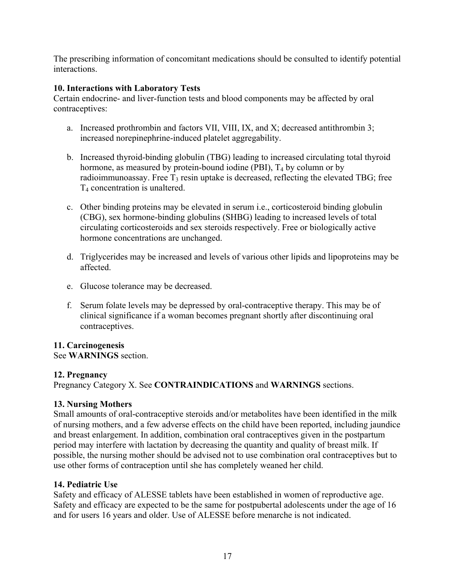The prescribing information of concomitant medications should be consulted to identify potential interactions.

## **10. Interactions with Laboratory Tests**

Certain endocrine- and liver-function tests and blood components may be affected by oral contraceptives:

- a. Increased prothrombin and factors VII, VIII, IX, and X; decreased antithrombin 3; increased norepinephrine-induced platelet aggregability.
- b. Increased thyroid-binding globulin (TBG) leading to increased circulating total thyroid hormone, as measured by protein-bound iodine (PBI),  $T_4$  by column or by radioimmunoassay. Free  $T_3$  resin uptake is decreased, reflecting the elevated TBG; free T4 concentration is unaltered.
- c. Other binding proteins may be elevated in serum i.e., corticosteroid binding globulin (CBG), sex hormone-binding globulins (SHBG) leading to increased levels of total circulating corticosteroids and sex steroids respectively. Free or biologically active hormone concentrations are unchanged.
- d. Triglycerides may be increased and levels of various other lipids and lipoproteins may be affected.
- e. Glucose tolerance may be decreased.
- f. Serum folate levels may be depressed by oral-contraceptive therapy. This may be of clinical significance if a woman becomes pregnant shortly after discontinuing oral contraceptives.

## **11. Carcinogenesis**

See **[WARNINGS](#page-6-0)** section.

## **12. Pregnancy**

Pregnancy Category X. See **[CONTRAINDICATIONS](#page-6-0)** and **[WARNINGS](#page-6-0)** sections.

## **13. Nursing Mothers**

Small amounts of oral-contraceptive steroids and/or metabolites have been identified in the milk of nursing mothers, and a few adverse effects on the child have been reported, including jaundice and breast enlargement. In addition, combination oral contraceptives given in the postpartum period may interfere with lactation by decreasing the quantity and quality of breast milk. If possible, the nursing mother should be advised not to use combination oral contraceptives but to use other forms of contraception until she has completely weaned her child.

## **14. Pediatric Use**

Safety and efficacy of ALESSE tablets have been established in women of reproductive age. Safety and efficacy are expected to be the same for postpubertal adolescents under the age of 16 and for users 16 years and older. Use of ALESSE before menarche is not indicated.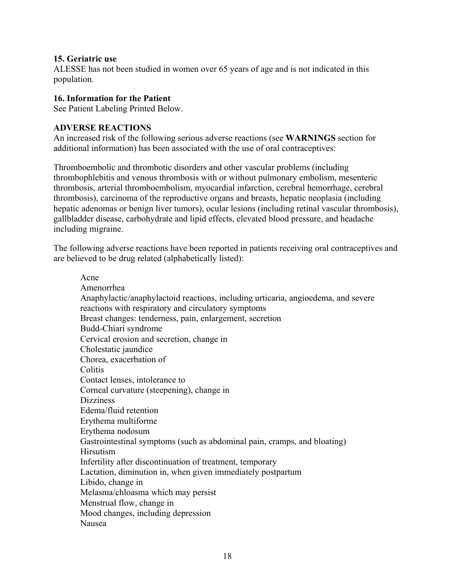### **15. Geriatric use**

ALESSE has not been studied in women over 65 years of age and is not indicated in this population.

### **16. Information for the Patient**

See [Patient Labeling](#page-29-0) Printed Below.

### **ADVERSE REACTIONS**

An increased risk of the following serious adverse reactions (see **[WARNINGS](#page-6-0)** section for additional information) has been associated with the use of oral contraceptives:

Thromboembolic and thrombotic disorders and other vascular problems (including thrombophlebitis and venous thrombosis with or without pulmonary embolism, mesenteric thrombosis, arterial thromboembolism, myocardial infarction, cerebral hemorrhage, cerebral thrombosis), carcinoma of the reproductive organs and breasts, hepatic neoplasia (including hepatic adenomas or benign liver tumors), ocular lesions (including retinal vascular thrombosis), gallbladder disease, carbohydrate and lipid effects, elevated blood pressure, and headache including migraine.

The following adverse reactions have been reported in patients receiving oral contraceptives and are believed to be drug related (alphabetically listed):

Acne Amenorrhea Anaphylactic/anaphylactoid reactions, including urticaria, angioedema, and severe reactions with respiratory and circulatory symptoms Breast changes: tenderness, pain, enlargement, secretion Budd-Chiari syndrome Cervical erosion and secretion, change in Cholestatic jaundice Chorea, exacerbation of Colitis Contact lenses, intolerance to Corneal curvature (steepening), change in Dizziness Edema/fluid retention Erythema multiforme Erythema nodosum Gastrointestinal symptoms (such as abdominal pain, cramps, and bloating) Hirsutism Infertility after discontinuation of treatment, temporary Lactation, diminution in, when given immediately postpartum Libido, change in Melasma/chloasma which may persist Menstrual flow, change in Mood changes, including depression Nausea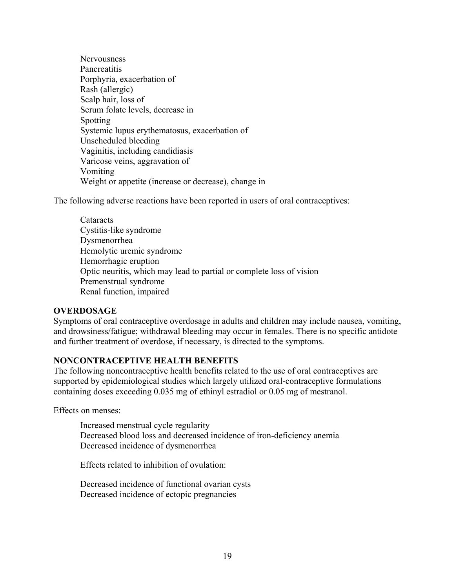Nervousness **Pancreatitis** Porphyria, exacerbation of Rash (allergic) Scalp hair, loss of Serum folate levels, decrease in Spotting Systemic lupus erythematosus, exacerbation of Unscheduled bleeding Vaginitis, including candidiasis Varicose veins, aggravation of Vomiting Weight or appetite (increase or decrease), change in

The following adverse reactions have been reported in users of oral contraceptives:

**Cataracts** Cystitis-like syndrome Dysmenorrhea Hemolytic uremic syndrome Hemorrhagic eruption Optic neuritis, which may lead to partial or complete loss of vision Premenstrual syndrome Renal function, impaired

### **OVERDOSAGE**

Symptoms of oral contraceptive overdosage in adults and children may include nausea, vomiting, and drowsiness/fatigue; withdrawal bleeding may occur in females. There is no specific antidote and further treatment of overdose, if necessary, is directed to the symptoms.

### **NONCONTRACEPTIVE HEALTH BENEFITS**

The following noncontraceptive health benefits related to the use of oral contraceptives are supported by epidemiological studies which largely utilized oral-contraceptive formulations containing doses exceeding 0.035 mg of ethinyl estradiol or 0.05 mg of mestranol.

Effects on menses:

Increased menstrual cycle regularity Decreased blood loss and decreased incidence of iron-deficiency anemia Decreased incidence of dysmenorrhea

Effects related to inhibition of ovulation:

Decreased incidence of functional ovarian cysts Decreased incidence of ectopic pregnancies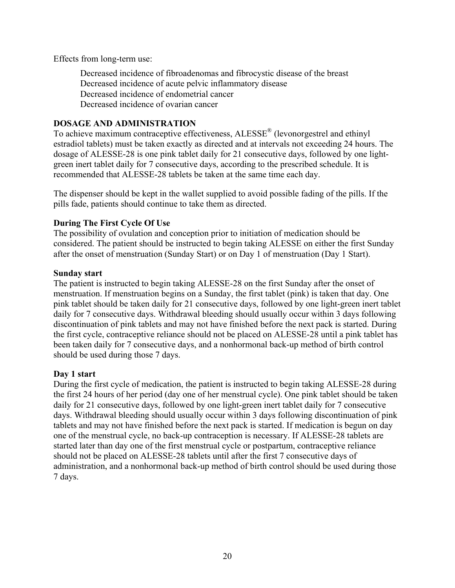Effects from long-term use:

Decreased incidence of fibroadenomas and fibrocystic disease of the breast Decreased incidence of acute pelvic inflammatory disease Decreased incidence of endometrial cancer Decreased incidence of ovarian cancer

### **DOSAGE AND ADMINISTRATION**

To achieve maximum contraceptive effectiveness, ALESSE® (levonorgestrel and ethinyl estradiol tablets) must be taken exactly as directed and at intervals not exceeding 24 hours. The dosage of ALESSE-28 is one pink tablet daily for 21 consecutive days, followed by one lightgreen inert tablet daily for 7 consecutive days, according to the prescribed schedule. It is recommended that ALESSE-28 tablets be taken at the same time each day.

The dispenser should be kept in the wallet supplied to avoid possible fading of the pills. If the pills fade, patients should continue to take them as directed.

### **During The First Cycle Of Use**

The possibility of ovulation and conception prior to initiation of medication should be considered. The patient should be instructed to begin taking ALESSE on either the first Sunday after the onset of menstruation (Sunday Start) or on Day 1 of menstruation (Day 1 Start).

### **Sunday start**

The patient is instructed to begin taking ALESSE-28 on the first Sunday after the onset of menstruation. If menstruation begins on a Sunday, the first tablet (pink) is taken that day. One pink tablet should be taken daily for 21 consecutive days, followed by one light-green inert tablet daily for 7 consecutive days. Withdrawal bleeding should usually occur within 3 days following discontinuation of pink tablets and may not have finished before the next pack is started. During the first cycle, contraceptive reliance should not be placed on ALESSE-28 until a pink tablet has been taken daily for 7 consecutive days, and a nonhormonal back-up method of birth control should be used during those 7 days.

### **Day 1 start**

During the first cycle of medication, the patient is instructed to begin taking ALESSE-28 during the first 24 hours of her period (day one of her menstrual cycle). One pink tablet should be taken daily for 21 consecutive days, followed by one light-green inert tablet daily for 7 consecutive days. Withdrawal bleeding should usually occur within 3 days following discontinuation of pink tablets and may not have finished before the next pack is started. If medication is begun on day one of the menstrual cycle, no back-up contraception is necessary. If ALESSE-28 tablets are started later than day one of the first menstrual cycle or postpartum, contraceptive reliance should not be placed on ALESSE-28 tablets until after the first 7 consecutive days of administration, and a nonhormonal back-up method of birth control should be used during those 7 days.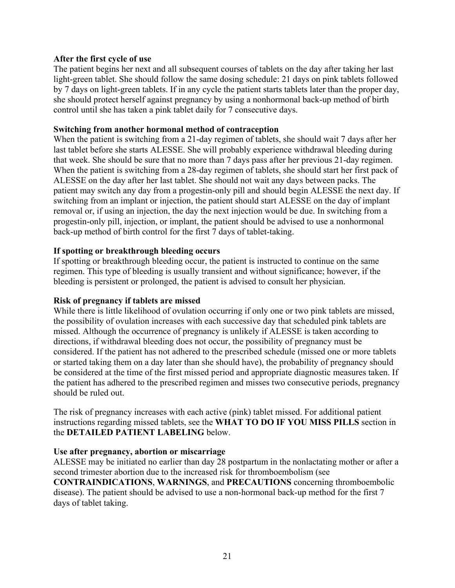### **After the first cycle of use**

The patient begins her next and all subsequent courses of tablets on the day after taking her last light-green tablet. She should follow the same dosing schedule: 21 days on pink tablets followed by 7 days on light-green tablets. If in any cycle the patient starts tablets later than the proper day, she should protect herself against pregnancy by using a nonhormonal back-up method of birth control until she has taken a pink tablet daily for 7 consecutive days.

### **Switching from another hormonal method of contraception**

When the patient is switching from a 21-day regimen of tablets, she should wait 7 days after her last tablet before she starts ALESSE. She will probably experience withdrawal bleeding during that week. She should be sure that no more than 7 days pass after her previous 21-day regimen. When the patient is switching from a 28-day regimen of tablets, she should start her first pack of ALESSE on the day after her last tablet. She should not wait any days between packs. The patient may switch any day from a progestin-only pill and should begin ALESSE the next day. If switching from an implant or injection, the patient should start ALESSE on the day of implant removal or, if using an injection, the day the next injection would be due. In switching from a progestin-only pill, injection, or implant, the patient should be advised to use a nonhormonal back-up method of birth control for the first 7 days of tablet-taking.

### **If spotting or breakthrough bleeding occurs**

If spotting or breakthrough bleeding occur, the patient is instructed to continue on the same regimen. This type of bleeding is usually transient and without significance; however, if the bleeding is persistent or prolonged, the patient is advised to consult her physician.

### **Risk of pregnancy if tablets are missed**

While there is little likelihood of ovulation occurring if only one or two pink tablets are missed, the possibility of ovulation increases with each successive day that scheduled pink tablets are missed. Although the occurrence of pregnancy is unlikely if ALESSE is taken according to directions, if withdrawal bleeding does not occur, the possibility of pregnancy must be considered. If the patient has not adhered to the prescribed schedule (missed one or more tablets or started taking them on a day later than she should have), the probability of pregnancy should be considered at the time of the first missed period and appropriate diagnostic measures taken. If the patient has adhered to the prescribed regimen and misses two consecutive periods, pregnancy should be ruled out.

The risk of pregnancy increases with each active (pink) tablet missed. For additional patient instructions regarding missed tablets, see the **[WHAT TO DO IF YOU MISS PILLS](#page-0-0)** section in the **[DETAILED PATIENT LABELING](#page-0-0)** below.

### **Use after pregnancy, abortion or miscarriage**

ALESSE may be initiated no earlier than day 28 postpartum in the nonlactating mother or after a second trimester abortion due to the increased risk for thromboembolism (see **[CONTRAINDICATIONS](#page-6-0)**, **[WARNINGS](#page-6-0)**, and **[PRECAUTIONS](#page-14-0)** concerning thromboembolic disease). The patient should be advised to use a non-hormonal back-up method for the first 7 days of tablet taking.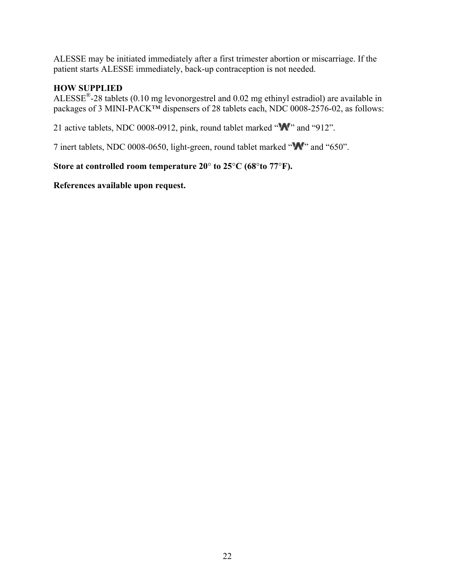ALESSE may be initiated immediately after a first trimester abortion or miscarriage. If the patient starts ALESSE immediately, back-up contraception is not needed.

### **HOW SUPPLIED**

ALESSE®-28 tablets (0.10 mg levonorgestrel and 0.02 mg ethinyl estradiol) are available in packages of 3 MINI-PACK™ dispensers of 28 tablets each, NDC 0008-2576-02, as follows:

21 active tablets, NDC 0008-0912, pink, round tablet marked " $\mathbf{W}$ " and "912".

7 inert tablets, NDC 0008-0650, light-green, round tablet marked "**W**" and "650".

## **Store at controlled room temperature 20**° **to 25**°**C (68**°**to 77**°**F).**

### **References available upon request.**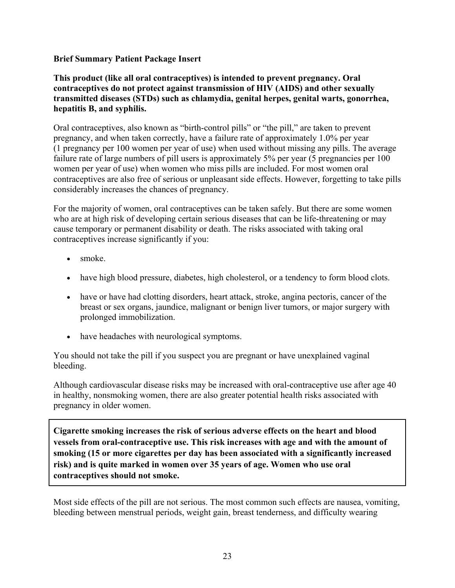### **Brief Summary Patient Package Insert**

## **This product (like all oral contraceptives) is intended to prevent pregnancy. Oral contraceptives do not protect against transmission of HIV (AIDS) and other sexually transmitted diseases (STDs) such as chlamydia, genital herpes, genital warts, gonorrhea, hepatitis B, and syphilis.**

Oral contraceptives, also known as "birth-control pills" or "the pill," are taken to prevent pregnancy, and when taken correctly, have a failure rate of approximately 1.0% per year (1 pregnancy per 100 women per year of use) when used without missing any pills. The average failure rate of large numbers of pill users is approximately 5% per year (5 pregnancies per 100 women per year of use) when women who miss pills are included. For most women oral contraceptives are also free of serious or unpleasant side effects. However, forgetting to take pills considerably increases the chances of pregnancy.

For the majority of women, oral contraceptives can be taken safely. But there are some women who are at high risk of developing certain serious diseases that can be life-threatening or may cause temporary or permanent disability or death. The risks associated with taking oral contraceptives increase significantly if you:

- smoke.
- have high blood pressure, diabetes, high cholesterol, or a tendency to form blood clots.
- have or have had clotting disorders, heart attack, stroke, angina pectoris, cancer of the breast or sex organs, jaundice, malignant or benign liver tumors, or major surgery with prolonged immobilization.
- have headaches with neurological symptoms.

You should not take the pill if you suspect you are pregnant or have unexplained vaginal bleeding.

Although cardiovascular disease risks may be increased with oral-contraceptive use after age 40 in healthy, nonsmoking women, there are also greater potential health risks associated with pregnancy in older women.

**Cigarette smoking increases the risk of serious adverse effects on the heart and blood vessels from oral-contraceptive use. This risk increases with age and with the amount of smoking (15 or more cigarettes per day has been associated with a significantly increased risk) and is quite marked in women over 35 years of age. Women who use oral contraceptives should not smoke.**

Most side effects of the pill are not serious. The most common such effects are nausea, vomiting, bleeding between menstrual periods, weight gain, breast tenderness, and difficulty wearing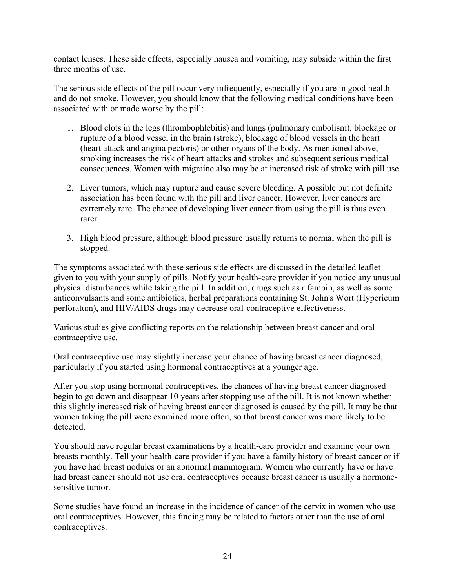contact lenses. These side effects, especially nausea and vomiting, may subside within the first three months of use.

The serious side effects of the pill occur very infrequently, especially if you are in good health and do not smoke. However, you should know that the following medical conditions have been associated with or made worse by the pill:

- 1. Blood clots in the legs (thrombophlebitis) and lungs (pulmonary embolism), blockage or rupture of a blood vessel in the brain (stroke), blockage of blood vessels in the heart (heart attack and angina pectoris) or other organs of the body. As mentioned above, smoking increases the risk of heart attacks and strokes and subsequent serious medical consequences. Women with migraine also may be at increased risk of stroke with pill use.
- 2. Liver tumors, which may rupture and cause severe bleeding. A possible but not definite association has been found with the pill and liver cancer. However, liver cancers are extremely rare. The chance of developing liver cancer from using the pill is thus even rarer.
- 3. High blood pressure, although blood pressure usually returns to normal when the pill is stopped.

The symptoms associated with these serious side effects are discussed in the detailed leaflet given to you with your supply of pills. Notify your health-care provider if you notice any unusual physical disturbances while taking the pill. In addition, drugs such as rifampin, as well as some anticonvulsants and some antibiotics, herbal preparations containing St. John's Wort (Hypericum perforatum), and HIV/AIDS drugs may decrease oral-contraceptive effectiveness.

Various studies give conflicting reports on the relationship between breast cancer and oral contraceptive use.

Oral contraceptive use may slightly increase your chance of having breast cancer diagnosed, particularly if you started using hormonal contraceptives at a younger age.

After you stop using hormonal contraceptives, the chances of having breast cancer diagnosed begin to go down and disappear 10 years after stopping use of the pill. It is not known whether this slightly increased risk of having breast cancer diagnosed is caused by the pill. It may be that women taking the pill were examined more often, so that breast cancer was more likely to be detected.

You should have regular breast examinations by a health-care provider and examine your own breasts monthly. Tell your health-care provider if you have a family history of breast cancer or if you have had breast nodules or an abnormal mammogram. Women who currently have or have had breast cancer should not use oral contraceptives because breast cancer is usually a hormonesensitive tumor.

Some studies have found an increase in the incidence of cancer of the cervix in women who use oral contraceptives. However, this finding may be related to factors other than the use of oral contraceptives.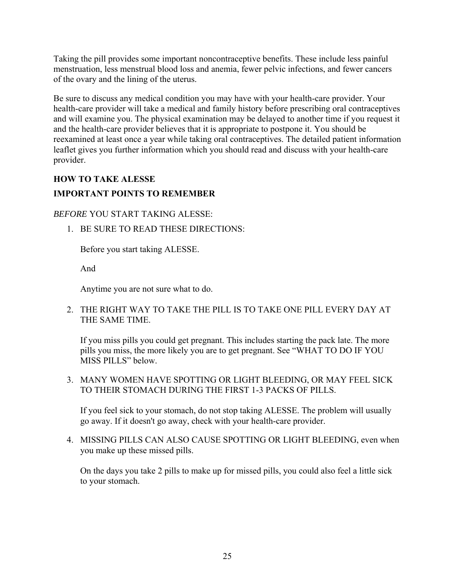Taking the pill provides some important noncontraceptive benefits. These include less painful menstruation, less menstrual blood loss and anemia, fewer pelvic infections, and fewer cancers of the ovary and the lining of the uterus.

Be sure to discuss any medical condition you may have with your health-care provider. Your health-care provider will take a medical and family history before prescribing oral contraceptives and will examine you. The physical examination may be delayed to another time if you request it and the health-care provider believes that it is appropriate to postpone it. You should be reexamined at least once a year while taking oral contraceptives. The detailed patient information leaflet gives you further information which you should read and discuss with your health-care provider.

## **HOW TO TAKE ALESSE**

## **IMPORTANT POINTS TO REMEMBER**

## *BEFORE* YOU START TAKING ALESSE:

1. BE SURE TO READ THESE DIRECTIONS:

Before you start taking ALESSE.

And

Anytime you are not sure what to do.

2. THE RIGHT WAY TO TAKE THE PILL IS TO TAKE ONE PILL EVERY DAY AT THE SAME TIME.

If you miss pills you could get pregnant. This includes starting the pack late. The more pills you miss, the more likely you are to get pregnant. See "WHAT TO DO IF YOU MISS PILLS" below.

3. MANY WOMEN HAVE SPOTTING OR LIGHT BLEEDING, OR MAY FEEL SICK TO THEIR STOMACH DURING THE FIRST 1-3 PACKS OF PILLS.

If you feel sick to your stomach, do not stop taking ALESSE. The problem will usually go away. If it doesn't go away, check with your health-care provider.

4. MISSING PILLS CAN ALSO CAUSE SPOTTING OR LIGHT BLEEDING, even when you make up these missed pills.

On the days you take 2 pills to make up for missed pills, you could also feel a little sick to your stomach.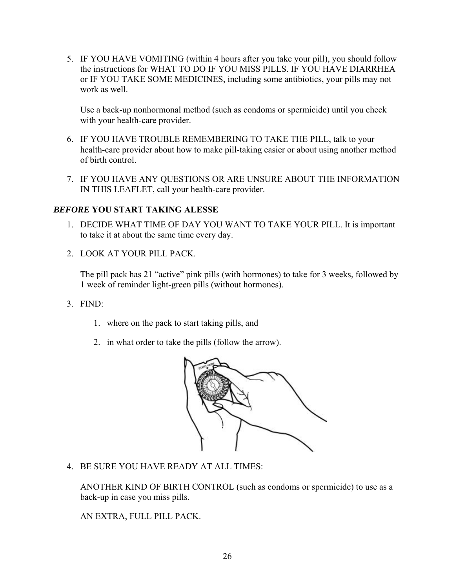5. IF YOU HAVE VOMITING (within 4 hours after you take your pill), you should follow the instructions for [WHAT TO DO IF YOU MISS PILLS.](#page-26-0) IF YOU HAVE DIARRHEA or IF YOU TAKE SOME MEDICINES, including some antibiotics, your pills may not work as well.

Use a back-up nonhormonal method (such as condoms or spermicide) until you check with your health-care provider.

- 6. IF YOU HAVE TROUBLE REMEMBERING TO TAKE THE PILL, talk to your health-care provider about how to make pill-taking easier or about using another method of birth control.
- 7. IF YOU HAVE ANY QUESTIONS OR ARE UNSURE ABOUT THE INFORMATION IN THIS LEAFLET, call your health-care provider.

## *BEFORE* **YOU START TAKING ALESSE**

- 1. DECIDE WHAT TIME OF DAY YOU WANT TO TAKE YOUR PILL. It is important to take it at about the same time every day.
- 2. LOOK AT YOUR PILL PACK.

The pill pack has 21 "active" pink pills (with hormones) to take for 3 weeks, followed by 1 week of reminder light-green pills (without hormones).

- 3. FIND:
	- 1. where on the pack to start taking pills, and
	- 2. in what order to take the pills (follow the arrow).



4. BE SURE YOU HAVE READY AT ALL TIMES:

ANOTHER KIND OF BIRTH CONTROL (such as condoms or spermicide) to use as a back-up in case you miss pills.

AN EXTRA, FULL PILL PACK.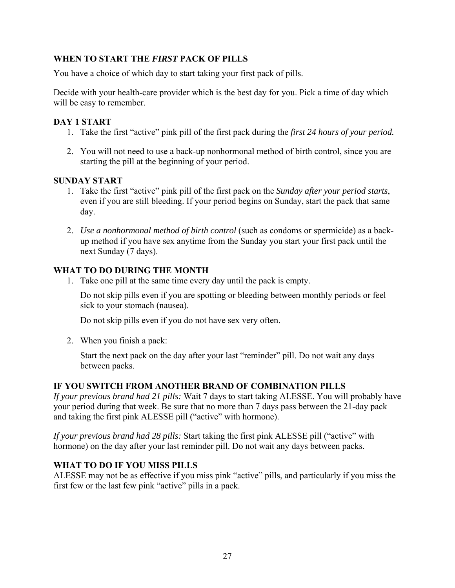## <span id="page-26-0"></span>**WHEN TO START THE** *FIRST* **PACK OF PILLS**

You have a choice of which day to start taking your first pack of pills.

Decide with your health-care provider which is the best day for you. Pick a time of day which will be easy to remember.

## **DAY 1 START**

- 1. Take the first "active" pink pill of the first pack during the *first 24 hours of your period.*
- 2. You will not need to use a back-up nonhormonal method of birth control, since you are starting the pill at the beginning of your period.

## **SUNDAY START**

- 1. Take the first "active" pink pill of the first pack on the *Sunday after your period starts*, even if you are still bleeding. If your period begins on Sunday, start the pack that same day.
- 2. *Use a nonhormonal method of birth control* (such as condoms or spermicide) as a backup method if you have sex anytime from the Sunday you start your first pack until the next Sunday (7 days).

## **WHAT TO DO DURING THE MONTH**

1. Take one pill at the same time every day until the pack is empty.

Do not skip pills even if you are spotting or bleeding between monthly periods or feel sick to your stomach (nausea).

Do not skip pills even if you do not have sex very often.

2. When you finish a pack:

Start the next pack on the day after your last "reminder" pill. Do not wait any days between packs.

## **IF YOU SWITCH FROM ANOTHER BRAND OF COMBINATION PILLS**

*If your previous brand had 21 pills:* Wait 7 days to start taking ALESSE. You will probably have your period during that week. Be sure that no more than 7 days pass between the 21-day pack and taking the first pink ALESSE pill ("active" with hormone).

*If your previous brand had 28 pills:* Start taking the first pink ALESSE pill ("active" with hormone) on the day after your last reminder pill. Do not wait any days between packs.

## **WHAT TO DO IF YOU MISS PILLS**

ALESSE may not be as effective if you miss pink "active" pills, and particularly if you miss the first few or the last few pink "active" pills in a pack.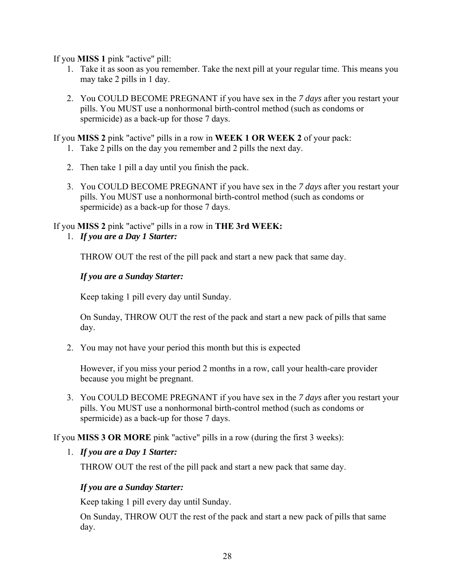If you **MISS 1** pink "active" pill:

- 1. Take it as soon as you remember. Take the next pill at your regular time. This means you may take 2 pills in 1 day.
- 2. You COULD BECOME PREGNANT if you have sex in the *7 days* after you restart your pills. You MUST use a nonhormonal birth-control method (such as condoms or spermicide) as a back-up for those 7 days.

If you **MISS 2** pink "active" pills in a row in **WEEK 1 OR WEEK 2** of your pack:

- 1. Take 2 pills on the day you remember and 2 pills the next day.
- 2. Then take 1 pill a day until you finish the pack.
- 3. You COULD BECOME PREGNANT if you have sex in the *7 days* after you restart your pills. You MUST use a nonhormonal birth-control method (such as condoms or spermicide) as a back-up for those 7 days.

If you **MISS 2** pink "active" pills in a row in **THE 3rd WEEK:**

1. *If you are a Day 1 Starter:*

THROW OUT the rest of the pill pack and start a new pack that same day.

## *If you are a Sunday Starter:*

Keep taking 1 pill every day until Sunday.

On Sunday, THROW OUT the rest of the pack and start a new pack of pills that same day.

2. You may not have your period this month but this is expected

However, if you miss your period 2 months in a row, call your health-care provider because you might be pregnant.

3. You COULD BECOME PREGNANT if you have sex in the *7 days* after you restart your pills. You MUST use a nonhormonal birth-control method (such as condoms or spermicide) as a back-up for those 7 days.

If you **MISS 3 OR MORE** pink "active" pills in a row (during the first 3 weeks):

1. *If you are a Day 1 Starter:*

THROW OUT the rest of the pill pack and start a new pack that same day.

## *If you are a Sunday Starter:*

Keep taking 1 pill every day until Sunday.

On Sunday, THROW OUT the rest of the pack and start a new pack of pills that same day.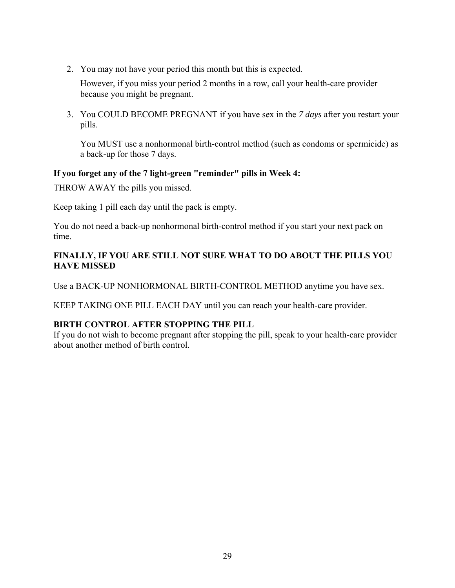2. You may not have your period this month but this is expected.

However, if you miss your period 2 months in a row, call your health-care provider because you might be pregnant.

3. You COULD BECOME PREGNANT if you have sex in the *7 days* after you restart your pills.

You MUST use a nonhormonal birth-control method (such as condoms or spermicide) as a back-up for those 7 days.

### **If you forget any of the 7 light-green "reminder" pills in Week 4:**

THROW AWAY the pills you missed.

Keep taking 1 pill each day until the pack is empty.

You do not need a back-up nonhormonal birth-control method if you start your next pack on time.

## **FINALLY, IF YOU ARE STILL NOT SURE WHAT TO DO ABOUT THE PILLS YOU HAVE MISSED**

Use a BACK-UP NONHORMONAL BIRTH-CONTROL METHOD anytime you have sex.

KEEP TAKING ONE PILL EACH DAY until you can reach your health-care provider.

## **BIRTH CONTROL AFTER STOPPING THE PILL**

If you do not wish to become pregnant after stopping the pill, speak to your health-care provider about another method of birth control.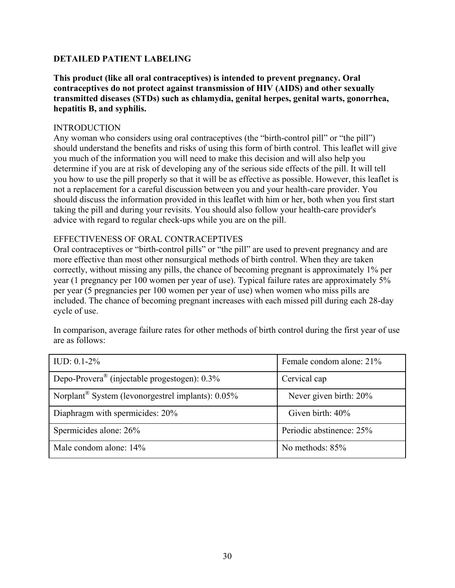### <span id="page-29-0"></span>**DETAILED PATIENT LABELING**

**This product (like all oral contraceptives) is intended to prevent pregnancy. Oral contraceptives do not protect against transmission of HIV (AIDS) and other sexually transmitted diseases (STDs) such as chlamydia, genital herpes, genital warts, gonorrhea, hepatitis B, and syphilis.**

#### INTRODUCTION

Any woman who considers using oral contraceptives (the "birth-control pill" or "the pill") should understand the benefits and risks of using this form of birth control. This leaflet will give you much of the information you will need to make this decision and will also help you determine if you are at risk of developing any of the serious side effects of the pill. It will tell you how to use the pill properly so that it will be as effective as possible. However, this leaflet is not a replacement for a careful discussion between you and your health-care provider. You should discuss the information provided in this leaflet with him or her, both when you first start taking the pill and during your revisits. You should also follow your health-care provider's advice with regard to regular check-ups while you are on the pill.

### EFFECTIVENESS OF ORAL CONTRACEPTIVES

Oral contraceptives or "birth-control pills" or "the pill" are used to prevent pregnancy and are more effective than most other nonsurgical methods of birth control. When they are taken correctly, without missing any pills, the chance of becoming pregnant is approximately 1% per year (1 pregnancy per 100 women per year of use). Typical failure rates are approximately 5% per year (5 pregnancies per 100 women per year of use) when women who miss pills are included. The chance of becoming pregnant increases with each missed pill during each 28-day cycle of use.

In comparison, average failure rates for other methods of birth control during the first year of use are as follows:

| $IUD: 0.1-2%$                                                 | Female condom alone: 21% |
|---------------------------------------------------------------|--------------------------|
| Depo-Provera <sup>®</sup> (injectable progestogen): 0.3%      | Cervical cap             |
| Norplant <sup>®</sup> System (levonorgestrel implants): 0.05% | Never given birth: 20%   |
| Diaphragm with spermicides: 20%                               | Given birth: 40%         |
| Spermicides alone: 26%                                        | Periodic abstinence: 25% |
| Male condom alone: 14%                                        | No methods: 85%          |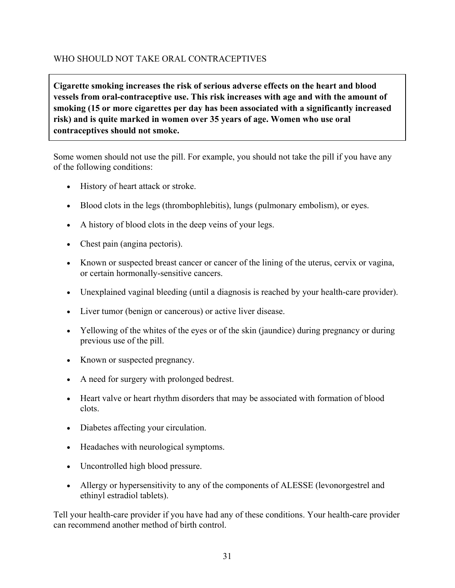## <span id="page-30-0"></span>WHO SHOULD NOT TAKE ORAL CONTRACEPTIVES

**Cigarette smoking increases the risk of serious adverse effects on the heart and blood vessels from oral-contraceptive use. This risk increases with age and with the amount of smoking (15 or more cigarettes per day has been associated with a significantly increased risk) and is quite marked in women over 35 years of age. Women who use oral contraceptives should not smoke.**

Some women should not use the pill. For example, you should not take the pill if you have any of the following conditions:

- History of heart attack or stroke.
- Blood clots in the legs (thrombophlebitis), lungs (pulmonary embolism), or eyes.
- A history of blood clots in the deep veins of your legs.
- Chest pain (angina pectoris).
- Known or suspected breast cancer or cancer of the lining of the uterus, cervix or vagina, or certain hormonally-sensitive cancers.
- Unexplained vaginal bleeding (until a diagnosis is reached by your health-care provider).
- Liver tumor (benign or cancerous) or active liver disease.
- Yellowing of the whites of the eyes or of the skin (jaundice) during pregnancy or during previous use of the pill.
- Known or suspected pregnancy.
- A need for surgery with prolonged bedrest.
- Heart valve or heart rhythm disorders that may be associated with formation of blood clots.
- Diabetes affecting your circulation.
- Headaches with neurological symptoms.
- Uncontrolled high blood pressure.
- Allergy or hypersensitivity to any of the components of ALESSE (levonorgestrel and ethinyl estradiol tablets).

Tell your health-care provider if you have had any of these conditions. Your health-care provider can recommend another method of birth control.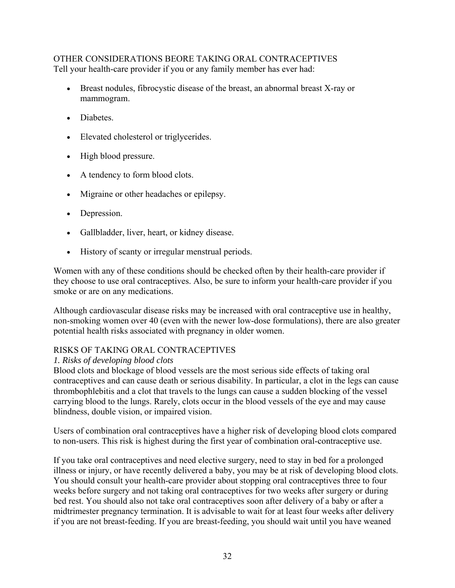## OTHER CONSIDERATIONS BEORE TAKING ORAL CONTRACEPTIVES Tell your health-care provider if you or any family member has ever had:

- Breast nodules, fibrocystic disease of the breast, an abnormal breast X-ray or mammogram.
- Diabetes.
- Elevated cholesterol or triglycerides.
- High blood pressure.
- A tendency to form blood clots.
- Migraine or other headaches or epilepsy.
- Depression.
- Gallbladder, liver, heart, or kidney disease.
- History of scanty or irregular menstrual periods.

Women with any of these conditions should be checked often by their health-care provider if they choose to use oral contraceptives. Also, be sure to inform your health-care provider if you smoke or are on any medications.

Although cardiovascular disease risks may be increased with oral contraceptive use in healthy, non-smoking women over 40 (even with the newer low-dose formulations), there are also greater potential health risks associated with pregnancy in older women.

## RISKS OF TAKING ORAL CONTRACEPTIVES

## *1. Risks of developing blood clots*

Blood clots and blockage of blood vessels are the most serious side effects of taking oral contraceptives and can cause death or serious disability. In particular, a clot in the legs can cause thrombophlebitis and a clot that travels to the lungs can cause a sudden blocking of the vessel carrying blood to the lungs. Rarely, clots occur in the blood vessels of the eye and may cause blindness, double vision, or impaired vision.

Users of combination oral contraceptives have a higher risk of developing blood clots compared to non-users. This risk is highest during the first year of combination oral-contraceptive use.

If you take oral contraceptives and need elective surgery, need to stay in bed for a prolonged illness or injury, or have recently delivered a baby, you may be at risk of developing blood clots. You should consult your health-care provider about stopping oral contraceptives three to four weeks before surgery and not taking oral contraceptives for two weeks after surgery or during bed rest. You should also not take oral contraceptives soon after delivery of a baby or after a midtrimester pregnancy termination. It is advisable to wait for at least four weeks after delivery if you are not breast-feeding. If you are breast-feeding, you should wait until you have weaned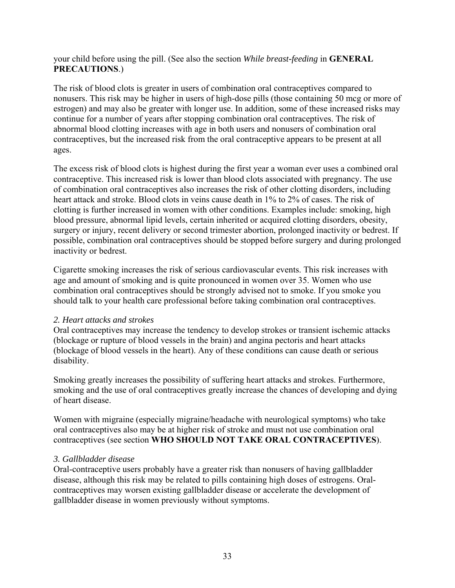### your child before using the pill. (See also the section *[While breast-feeding](#page-0-0)* in **[GENERAL](#page-0-0)  [PRECAUTIONS](#page-0-0)**.)

The risk of blood clots is greater in users of combination oral contraceptives compared to nonusers. This risk may be higher in users of high-dose pills (those containing 50 mcg or more of estrogen) and may also be greater with longer use. In addition, some of these increased risks may continue for a number of years after stopping combination oral contraceptives. The risk of abnormal blood clotting increases with age in both users and nonusers of combination oral contraceptives, but the increased risk from the oral contraceptive appears to be present at all ages.

The excess risk of blood clots is highest during the first year a woman ever uses a combined oral contraceptive. This increased risk is lower than blood clots associated with pregnancy. The use of combination oral contraceptives also increases the risk of other clotting disorders, including heart attack and stroke. Blood clots in veins cause death in 1% to 2% of cases. The risk of clotting is further increased in women with other conditions. Examples include: smoking, high blood pressure, abnormal lipid levels, certain inherited or acquired clotting disorders, obesity, surgery or injury, recent delivery or second trimester abortion, prolonged inactivity or bedrest. If possible, combination oral contraceptives should be stopped before surgery and during prolonged inactivity or bedrest.

Cigarette smoking increases the risk of serious cardiovascular events. This risk increases with age and amount of smoking and is quite pronounced in women over 35. Women who use combination oral contraceptives should be strongly advised not to smoke. If you smoke you should talk to your health care professional before taking combination oral contraceptives.

### *2. Heart attacks and strokes*

Oral contraceptives may increase the tendency to develop strokes or transient ischemic attacks (blockage or rupture of blood vessels in the brain) and angina pectoris and heart attacks (blockage of blood vessels in the heart). Any of these conditions can cause death or serious disability.

Smoking greatly increases the possibility of suffering heart attacks and strokes. Furthermore, smoking and the use of oral contraceptives greatly increase the chances of developing and dying of heart disease.

Women with migraine (especially migraine/headache with neurological symptoms) who take oral contraceptives also may be at higher risk of stroke and must not use combination oral contraceptives (see section **[WHO SHOULD NOT TAKE ORAL CONTRACEPTIVES](#page-30-0)**).

### *3. Gallbladder disease*

Oral-contraceptive users probably have a greater risk than nonusers of having gallbladder disease, although this risk may be related to pills containing high doses of estrogens. Oralcontraceptives may worsen existing gallbladder disease or accelerate the development of gallbladder disease in women previously without symptoms.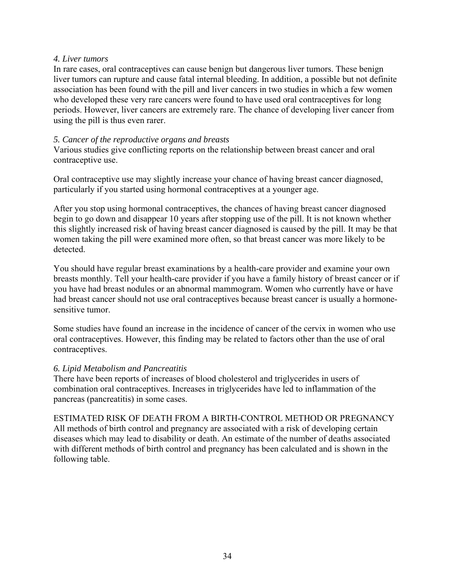### *4. Liver tumors*

In rare cases, oral contraceptives can cause benign but dangerous liver tumors. These benign liver tumors can rupture and cause fatal internal bleeding. In addition, a possible but not definite association has been found with the pill and liver cancers in two studies in which a few women who developed these very rare cancers were found to have used oral contraceptives for long periods. However, liver cancers are extremely rare. The chance of developing liver cancer from using the pill is thus even rarer.

### *5. Cancer of the reproductive organs and breasts*

Various studies give conflicting reports on the relationship between breast cancer and oral contraceptive use.

Oral contraceptive use may slightly increase your chance of having breast cancer diagnosed, particularly if you started using hormonal contraceptives at a younger age.

After you stop using hormonal contraceptives, the chances of having breast cancer diagnosed begin to go down and disappear 10 years after stopping use of the pill. It is not known whether this slightly increased risk of having breast cancer diagnosed is caused by the pill. It may be that women taking the pill were examined more often, so that breast cancer was more likely to be detected.

You should have regular breast examinations by a health-care provider and examine your own breasts monthly. Tell your health-care provider if you have a family history of breast cancer or if you have had breast nodules or an abnormal mammogram. Women who currently have or have had breast cancer should not use oral contraceptives because breast cancer is usually a hormonesensitive tumor.

Some studies have found an increase in the incidence of cancer of the cervix in women who use oral contraceptives. However, this finding may be related to factors other than the use of oral contraceptives.

### *6. Lipid Metabolism and Pancreatitis*

There have been reports of increases of blood cholesterol and triglycerides in users of combination oral contraceptives. Increases in triglycerides have led to inflammation of the pancreas (pancreatitis) in some cases.

## ESTIMATED RISK OF DEATH FROM A BIRTH-CONTROL METHOD OR PREGNANCY

All methods of birth control and pregnancy are associated with a risk of developing certain diseases which may lead to disability or death. An estimate of the number of deaths associated with different methods of birth control and pregnancy has been calculated and is shown in the following table.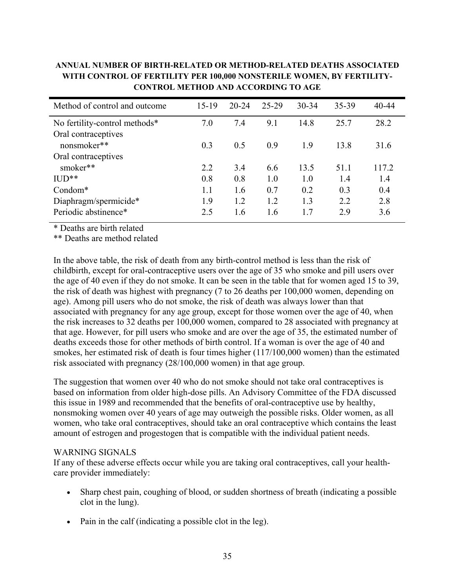| Method of control and outcome | $15-19$ | $20 - 24$ | $25-29$ | $30 - 34$ | 35-39 | 40-44 |
|-------------------------------|---------|-----------|---------|-----------|-------|-------|
| No fertility-control methods* | 7.0     | 7.4       | 9.1     | 14.8      | 25.7  | 28.2  |
| Oral contraceptives           |         |           |         |           |       |       |
| nonsmoker**                   | 0.3     | 0.5       | 0.9     | 1.9       | 13.8  | 31.6  |
| Oral contraceptives           |         |           |         |           |       |       |
| smoker**                      | 2.2     | 3.4       | 6.6     | 13.5      | 51.1  | 117.2 |
| $\text{IID}^{**}$             | 0.8     | 0.8       | 1.0     | 1.0       | 1.4   | 1.4   |
| Condom <sup>*</sup>           | 1.1     | 1.6       | 0.7     | 0.2       | 0.3   | 0.4   |
| Diaphragm/spermicide*         | 1.9     | 1.2       | 1.2     | 1.3       | 2.2   | 2.8   |
| Periodic abstinence*          | 2.5     | 1.6       | 1.6     | 1.7       | 2.9   | 3.6   |
|                               |         |           |         |           |       |       |

**ANNUAL NUMBER OF BIRTH-RELATED OR METHOD-RELATED DEATHS ASSOCIATED WITH CONTROL OF FERTILITY PER 100,000 NONSTERILE WOMEN, BY FERTILITY-CONTROL METHOD AND ACCORDING TO AGE** 

\* Deaths are birth related

\*\* Deaths are method related

In the above table, the risk of death from any birth-control method is less than the risk of childbirth, except for oral-contraceptive users over the age of 35 who smoke and pill users over the age of 40 even if they do not smoke. It can be seen in the table that for women aged 15 to 39, the risk of death was highest with pregnancy (7 to 26 deaths per 100,000 women, depending on age). Among pill users who do not smoke, the risk of death was always lower than that associated with pregnancy for any age group, except for those women over the age of 40, when the risk increases to 32 deaths per 100,000 women, compared to 28 associated with pregnancy at that age. However, for pill users who smoke and are over the age of 35, the estimated number of deaths exceeds those for other methods of birth control. If a woman is over the age of 40 and smokes, her estimated risk of death is four times higher (117/100,000 women) than the estimated risk associated with pregnancy (28/100,000 women) in that age group.

The suggestion that women over 40 who do not smoke should not take oral contraceptives is based on information from older high-dose pills. An Advisory Committee of the FDA discussed this issue in 1989 and recommended that the benefits of oral-contraceptive use by healthy, nonsmoking women over 40 years of age may outweigh the possible risks. Older women, as all women, who take oral contraceptives, should take an oral contraceptive which contains the least amount of estrogen and progestogen that is compatible with the individual patient needs.

### WARNING SIGNALS

If any of these adverse effects occur while you are taking oral contraceptives, call your healthcare provider immediately:

- Sharp chest pain, coughing of blood, or sudden shortness of breath (indicating a possible clot in the lung).
- Pain in the calf (indicating a possible clot in the leg).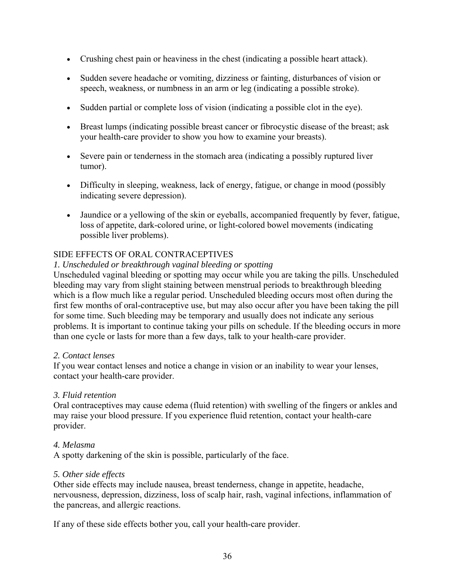- Crushing chest pain or heaviness in the chest (indicating a possible heart attack).
- Sudden severe headache or vomiting, dizziness or fainting, disturbances of vision or speech, weakness, or numbness in an arm or leg (indicating a possible stroke).
- Sudden partial or complete loss of vision (indicating a possible clot in the eye).
- Breast lumps (indicating possible breast cancer or fibrocystic disease of the breast; ask your health-care provider to show you how to examine your breasts).
- Severe pain or tenderness in the stomach area (indicating a possibly ruptured liver tumor).
- Difficulty in sleeping, weakness, lack of energy, fatigue, or change in mood (possibly indicating severe depression).
- Jaundice or a yellowing of the skin or eyeballs, accompanied frequently by fever, fatigue, loss of appetite, dark-colored urine, or light-colored bowel movements (indicating possible liver problems).

## SIDE EFFECTS OF ORAL CONTRACEPTIVES

### *1. Unscheduled or breakthrough vaginal bleeding or spotting*

Unscheduled vaginal bleeding or spotting may occur while you are taking the pills. Unscheduled bleeding may vary from slight staining between menstrual periods to breakthrough bleeding which is a flow much like a regular period. Unscheduled bleeding occurs most often during the first few months of oral-contraceptive use, but may also occur after you have been taking the pill for some time. Such bleeding may be temporary and usually does not indicate any serious problems. It is important to continue taking your pills on schedule. If the bleeding occurs in more than one cycle or lasts for more than a few days, talk to your health-care provider.

### *2. Contact lenses*

If you wear contact lenses and notice a change in vision or an inability to wear your lenses, contact your health-care provider.

## *3. Fluid retention*

Oral contraceptives may cause edema (fluid retention) with swelling of the fingers or ankles and may raise your blood pressure. If you experience fluid retention, contact your health-care provider.

## *4. Melasma*

A spotty darkening of the skin is possible, particularly of the face.

### *5. Other side effects*

Other side effects may include nausea, breast tenderness, change in appetite, headache, nervousness, depression, dizziness, loss of scalp hair, rash, vaginal infections, inflammation of the pancreas, and allergic reactions.

If any of these side effects bother you, call your health-care provider.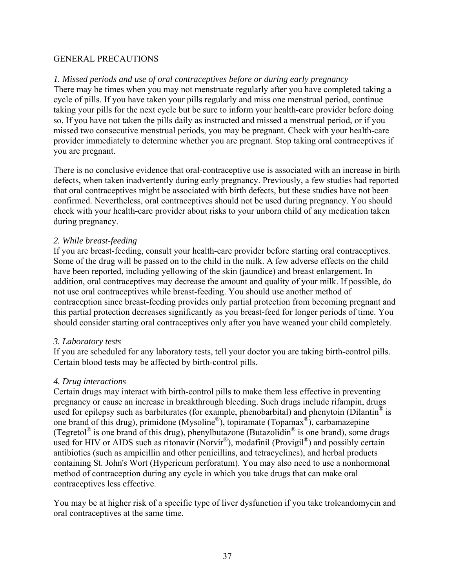### GENERAL PRECAUTIONS

### *1. Missed periods and use of oral contraceptives before or during early pregnancy*

There may be times when you may not menstruate regularly after you have completed taking a cycle of pills. If you have taken your pills regularly and miss one menstrual period, continue taking your pills for the next cycle but be sure to inform your health-care provider before doing so. If you have not taken the pills daily as instructed and missed a menstrual period, or if you missed two consecutive menstrual periods, you may be pregnant. Check with your health-care provider immediately to determine whether you are pregnant. Stop taking oral contraceptives if you are pregnant.

There is no conclusive evidence that oral-contraceptive use is associated with an increase in birth defects, when taken inadvertently during early pregnancy. Previously, a few studies had reported that oral contraceptives might be associated with birth defects, but these studies have not been confirmed. Nevertheless, oral contraceptives should not be used during pregnancy. You should check with your health-care provider about risks to your unborn child of any medication taken during pregnancy.

### *2. While breast-feeding*

If you are breast-feeding, consult your health-care provider before starting oral contraceptives. Some of the drug will be passed on to the child in the milk. A few adverse effects on the child have been reported, including yellowing of the skin (jaundice) and breast enlargement. In addition, oral contraceptives may decrease the amount and quality of your milk. If possible, do not use oral contraceptives while breast-feeding. You should use another method of contraception since breast-feeding provides only partial protection from becoming pregnant and this partial protection decreases significantly as you breast-feed for longer periods of time. You should consider starting oral contraceptives only after you have weaned your child completely.

### *3. Laboratory tests*

If you are scheduled for any laboratory tests, tell your doctor you are taking birth-control pills. Certain blood tests may be affected by birth-control pills.

### *4. Drug interactions*

Certain drugs may interact with birth-control pills to make them less effective in preventing pregnancy or cause an increase in breakthrough bleeding. Such drugs include rifampin, drugs used for epilepsy such as barbiturates (for example, phenobarbital) and phenytoin (Dilantin<sup>®</sup> is one brand of this drug), primidone (Mysoline®), topiramate (Topamax®), carbamazepine (Tegretol<sup>®</sup> is one brand of this drug), phenylbutazone (Butazolidin<sup>®</sup> is one brand), some drugs used for HIV or AIDS such as ritonavir (Norvir<sup>®</sup>), modafinil (Provigil<sup>®</sup>) and possibly certain antibiotics (such as ampicillin and other penicillins, and tetracyclines), and herbal products containing St. John's Wort (Hypericum perforatum). You may also need to use a nonhormonal method of contraception during any cycle in which you take drugs that can make oral contraceptives less effective.

You may be at higher risk of a specific type of liver dysfunction if you take troleandomycin and oral contraceptives at the same time.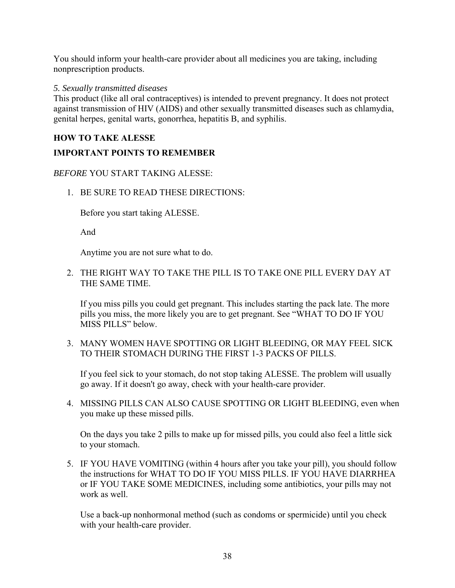You should inform your health-care provider about all medicines you are taking, including nonprescription products.

### *5. Sexually transmitted diseases*

This product (like all oral contraceptives) is intended to prevent pregnancy. It does not protect against transmission of HIV (AIDS) and other sexually transmitted diseases such as chlamydia, genital herpes, genital warts, gonorrhea, hepatitis B, and syphilis.

## **HOW TO TAKE ALESSE**

## **IMPORTANT POINTS TO REMEMBER**

## *BEFORE* YOU START TAKING ALESSE:

1. BE SURE TO READ THESE DIRECTIONS:

Before you start taking ALESSE.

And

Anytime you are not sure what to do.

2. THE RIGHT WAY TO TAKE THE PILL IS TO TAKE ONE PILL EVERY DAY AT THE SAME TIME.

If you miss pills you could get pregnant. This includes starting the pack late. The more pills you miss, the more likely you are to get pregnant. See "[WHAT TO DO IF YOU](#page-39-0)  [MISS PILLS](#page-39-0)" below.

3. MANY WOMEN HAVE SPOTTING OR LIGHT BLEEDING, OR MAY FEEL SICK TO THEIR STOMACH DURING THE FIRST 1-3 PACKS OF PILLS.

If you feel sick to your stomach, do not stop taking ALESSE. The problem will usually go away. If it doesn't go away, check with your health-care provider.

4. MISSING PILLS CAN ALSO CAUSE SPOTTING OR LIGHT BLEEDING, even when you make up these missed pills.

On the days you take 2 pills to make up for missed pills, you could also feel a little sick to your stomach.

5. IF YOU HAVE VOMITING (within 4 hours after you take your pill), you should follow the instructions for [WHAT TO DO IF YOU MISS PILLS.](#page-0-0) IF YOU HAVE DIARRHEA or IF YOU TAKE SOME MEDICINES, including some antibiotics, your pills may not work as well

Use a back-up nonhormonal method (such as condoms or spermicide) until you check with your health-care provider.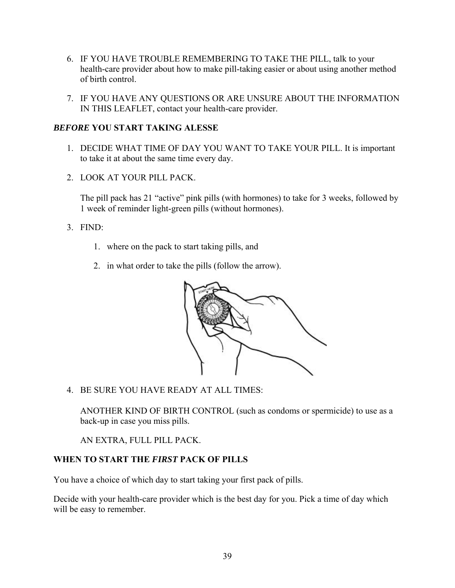- 6. IF YOU HAVE TROUBLE REMEMBERING TO TAKE THE PILL, talk to your health-care provider about how to make pill-taking easier or about using another method of birth control.
- 7. IF YOU HAVE ANY QUESTIONS OR ARE UNSURE ABOUT THE INFORMATION IN THIS LEAFLET, contact your health-care provider.

### *BEFORE* **YOU START TAKING ALESSE**

- 1. DECIDE WHAT TIME OF DAY YOU WANT TO TAKE YOUR PILL. It is important to take it at about the same time every day.
- 2. LOOK AT YOUR PILL PACK.

The pill pack has 21 "active" pink pills (with hormones) to take for 3 weeks, followed by 1 week of reminder light-green pills (without hormones).

- 3. FIND:
	- 1. where on the pack to start taking pills, and
	- 2. in what order to take the pills (follow the arrow).



4. BE SURE YOU HAVE READY AT ALL TIMES:

ANOTHER KIND OF BIRTH CONTROL (such as condoms or spermicide) to use as a back-up in case you miss pills.

### AN EXTRA, FULL PILL PACK.

## **WHEN TO START THE** *FIRST* **PACK OF PILLS**

You have a choice of which day to start taking your first pack of pills.

Decide with your health-care provider which is the best day for you. Pick a time of day which will be easy to remember.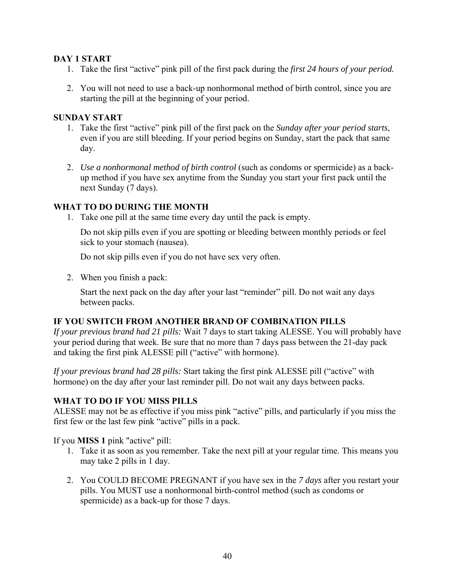### <span id="page-39-0"></span>**DAY 1 START**

- 1. Take the first "active" pink pill of the first pack during the *first 24 hours of your period.*
- 2. You will not need to use a back-up nonhormonal method of birth control, since you are starting the pill at the beginning of your period.

### **SUNDAY START**

- 1. Take the first "active" pink pill of the first pack on the *Sunday after your period starts*, even if you are still bleeding. If your period begins on Sunday, start the pack that same day.
- 2. *Use a nonhormonal method of birth control* (such as condoms or spermicide) as a backup method if you have sex anytime from the Sunday you start your first pack until the next Sunday (7 days).

### **WHAT TO DO DURING THE MONTH**

1. Take one pill at the same time every day until the pack is empty.

Do not skip pills even if you are spotting or bleeding between monthly periods or feel sick to your stomach (nausea).

Do not skip pills even if you do not have sex very often.

2. When you finish a pack:

Start the next pack on the day after your last "reminder" pill. Do not wait any days between packs.

### **IF YOU SWITCH FROM ANOTHER BRAND OF COMBINATION PILLS**

*If your previous brand had 21 pills:* Wait 7 days to start taking ALESSE. You will probably have your period during that week. Be sure that no more than 7 days pass between the 21-day pack and taking the first pink ALESSE pill ("active" with hormone).

*If your previous brand had 28 pills:* Start taking the first pink ALESSE pill ("active" with hormone) on the day after your last reminder pill. Do not wait any days between packs.

### **WHAT TO DO IF YOU MISS PILLS**

ALESSE may not be as effective if you miss pink "active" pills, and particularly if you miss the first few or the last few pink "active" pills in a pack.

If you **MISS 1** pink "active" pill:

- 1. Take it as soon as you remember. Take the next pill at your regular time. This means you may take 2 pills in 1 day.
- 2. You COULD BECOME PREGNANT if you have sex in the *7 days* after you restart your pills. You MUST use a nonhormonal birth-control method (such as condoms or spermicide) as a back-up for those 7 days.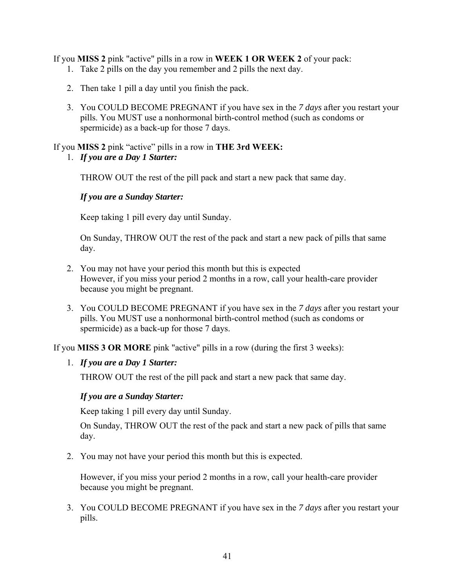If you **MISS 2** pink "active" pills in a row in **WEEK 1 OR WEEK 2** of your pack:

- 1. Take 2 pills on the day you remember and 2 pills the next day.
- 2. Then take 1 pill a day until you finish the pack.
- 3. You COULD BECOME PREGNANT if you have sex in the *7 days* after you restart your pills. You MUST use a nonhormonal birth-control method (such as condoms or spermicide) as a back-up for those 7 days.

### If you **MISS 2** pink "active" pills in a row in **THE 3rd WEEK:**

1. *If you are a Day 1 Starter:*

THROW OUT the rest of the pill pack and start a new pack that same day.

### *If you are a Sunday Starter:*

Keep taking 1 pill every day until Sunday.

On Sunday, THROW OUT the rest of the pack and start a new pack of pills that same day.

- 2. You may not have your period this month but this is expected However, if you miss your period 2 months in a row, call your health-care provider because you might be pregnant.
- 3. You COULD BECOME PREGNANT if you have sex in the *7 days* after you restart your pills. You MUST use a nonhormonal birth-control method (such as condoms or spermicide) as a back-up for those 7 days.

If you **MISS 3 OR MORE** pink "active" pills in a row (during the first 3 weeks):

1. *If you are a Day 1 Starter:* 

THROW OUT the rest of the pill pack and start a new pack that same day.

### *If you are a Sunday Starter:*

Keep taking 1 pill every day until Sunday.

On Sunday, THROW OUT the rest of the pack and start a new pack of pills that same day.

2. You may not have your period this month but this is expected.

However, if you miss your period 2 months in a row, call your health-care provider because you might be pregnant.

3. You COULD BECOME PREGNANT if you have sex in the *7 days* after you restart your pills.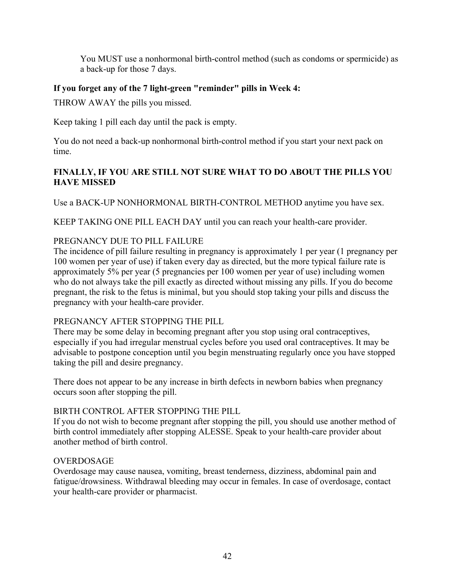You MUST use a nonhormonal birth-control method (such as condoms or spermicide) as a back-up for those 7 days.

## **If you forget any of the 7 light-green "reminder" pills in Week 4:**

THROW AWAY the pills you missed.

Keep taking 1 pill each day until the pack is empty.

You do not need a back-up nonhormonal birth-control method if you start your next pack on time.

## **FINALLY, IF YOU ARE STILL NOT SURE WHAT TO DO ABOUT THE PILLS YOU HAVE MISSED**

Use a BACK-UP NONHORMONAL BIRTH-CONTROL METHOD anytime you have sex.

KEEP TAKING ONE PILL EACH DAY until you can reach your health-care provider.

## PREGNANCY DUE TO PILL FAILURE

The incidence of pill failure resulting in pregnancy is approximately 1 per year (1 pregnancy per 100 women per year of use) if taken every day as directed, but the more typical failure rate is approximately 5% per year (5 pregnancies per 100 women per year of use) including women who do not always take the pill exactly as directed without missing any pills. If you do become pregnant, the risk to the fetus is minimal, but you should stop taking your pills and discuss the pregnancy with your health-care provider.

## PREGNANCY AFTER STOPPING THE PILL

There may be some delay in becoming pregnant after you stop using oral contraceptives, especially if you had irregular menstrual cycles before you used oral contraceptives. It may be advisable to postpone conception until you begin menstruating regularly once you have stopped taking the pill and desire pregnancy.

There does not appear to be any increase in birth defects in newborn babies when pregnancy occurs soon after stopping the pill.

## BIRTH CONTROL AFTER STOPPING THE PILL

If you do not wish to become pregnant after stopping the pill, you should use another method of birth control immediately after stopping ALESSE. Speak to your health-care provider about another method of birth control.

## OVERDOSAGE

Overdosage may cause nausea, vomiting, breast tenderness, dizziness, abdominal pain and fatigue/drowsiness. Withdrawal bleeding may occur in females. In case of overdosage, contact your health-care provider or pharmacist.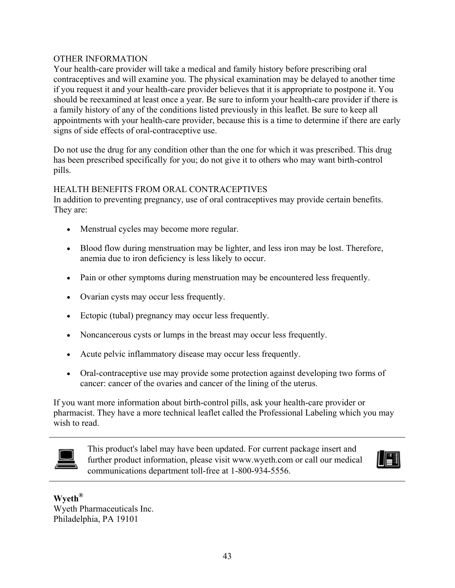## OTHER INFORMATION

Your health-care provider will take a medical and family history before prescribing oral contraceptives and will examine you. The physical examination may be delayed to another time if you request it and your health-care provider believes that it is appropriate to postpone it. You should be reexamined at least once a year. Be sure to inform your health-care provider if there is a family history of any of the conditions listed previously in this leaflet. Be sure to keep all appointments with your health-care provider, because this is a time to determine if there are early signs of side effects of oral-contraceptive use.

Do not use the drug for any condition other than the one for which it was prescribed. This drug has been prescribed specifically for you; do not give it to others who may want birth-control pills.

## HEALTH BENEFITS FROM ORAL CONTRACEPTIVES

In addition to preventing pregnancy, use of oral contraceptives may provide certain benefits. They are:

- Menstrual cycles may become more regular.
- Blood flow during menstruation may be lighter, and less iron may be lost. Therefore, anemia due to iron deficiency is less likely to occur.
- Pain or other symptoms during menstruation may be encountered less frequently.
- Ovarian cysts may occur less frequently.
- Ectopic (tubal) pregnancy may occur less frequently.
- Noncancerous cysts or lumps in the breast may occur less frequently.
- Acute pelvic inflammatory disease may occur less frequently.
- Oral-contraceptive use may provide some protection against developing two forms of cancer: cancer of the ovaries and cancer of the lining of the uterus.

If you want more information about birth-control pills, ask your health-care provider or pharmacist. They have a more technical leaflet called the Professional Labeling which you may wish to read.



This product's label may have been updated. For current package insert and further product information, please visit www.wyeth.com or call our medical communications department toll-free at 1-800-934-5556.



**Wyeth®** Wyeth Pharmaceuticals Inc. Philadelphia, PA 19101